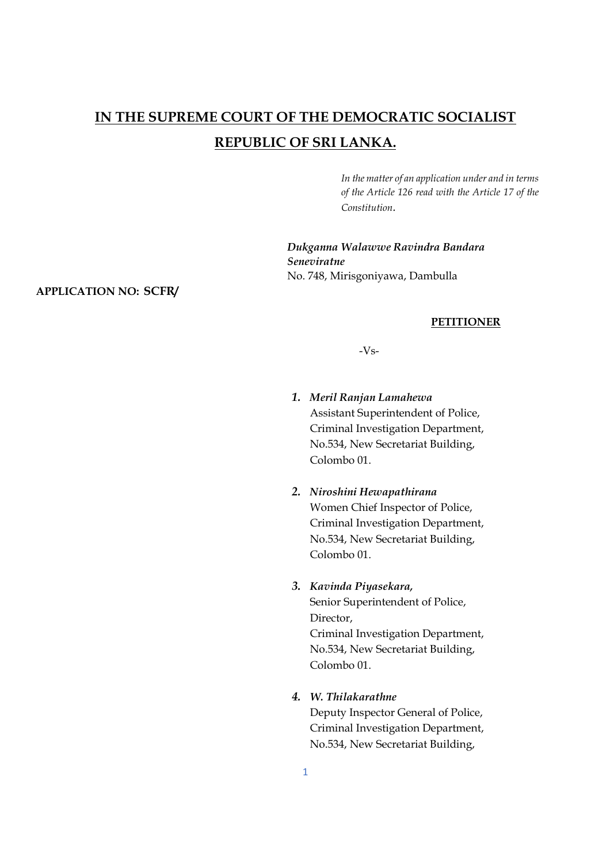# **IN THE SUPREME COURT OF THE DEMOCRATIC SOCIALIST REPUBLIC OF SRI LANKA.**

*In the matter of an application under and in terms of the Article 126 read with the Article 17 of the Constitution.* 

*Dukganna Walawwe Ravindra Bandara Seneviratne*  No. 748, Mirisgoniyawa, Dambulla

#### **APPLICATION NO: SCFR/**

#### **PETITIONER**

-Vs-

- *1. Meril Ranjan Lamahewa*  Assistant Superintendent of Police, Criminal Investigation Department, No.534, New Secretariat Building, Colombo 01.
- *2. Niroshini Hewapathirana* Women Chief Inspector of Police, Criminal Investigation Department, No.534, New Secretariat Building, Colombo 01.

#### *3. Kavinda Piyasekara,*

Senior Superintendent of Police, Director, Criminal Investigation Department, No.534, New Secretariat Building, Colombo 01.

#### *4. W. Thilakarathne*

Deputy Inspector General of Police, Criminal Investigation Department, No.534, New Secretariat Building,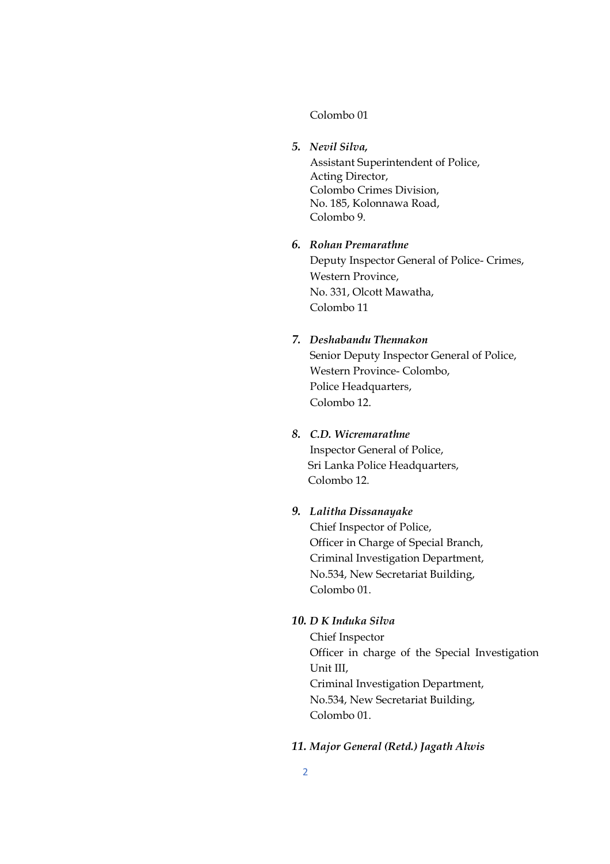#### Colombo 01

#### *5. Nevil Silva,*

Assistant Superintendent of Police, Acting Director, Colombo Crimes Division, No. 185, Kolonnawa Road, Colombo 9.

## *6. Rohan Premarathne*  Deputy Inspector General of Police- Crimes, Western Province, No. 331, Olcott Mawatha, Colombo 11

### *7. Deshabandu Thennakon*

Senior Deputy Inspector General of Police, Western Province- Colombo, Police Headquarters, Colombo 12.

#### *8. C.D. Wicremarathne*

Inspector General of Police, Sri Lanka Police Headquarters, Colombo 12.

## *9. Lalitha Dissanayake*

Chief Inspector of Police, Officer in Charge of Special Branch, Criminal Investigation Department, No.534, New Secretariat Building, Colombo 01.

#### *10. D K Induka Silva*

Chief Inspector Officer in charge of the Special Investigation Unit III, Criminal Investigation Department, No.534, New Secretariat Building, Colombo 01.

#### *11. Major General (Retd.) Jagath Alwis*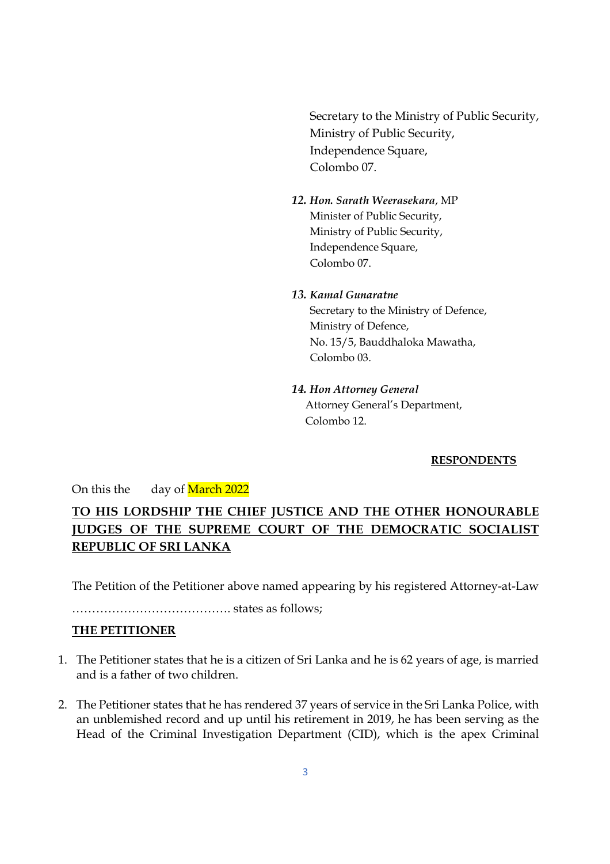Secretary to the Ministry of Public Security, Ministry of Public Security, Independence Square, Colombo 07.

- *12. Hon. Sarath Weerasekara*, MP Minister of Public Security, Ministry of Public Security, Independence Square, Colombo 07.
- *13. Kamal Gunaratne*  Secretary to the Ministry of Defence, Ministry of Defence, No. 15/5, Bauddhaloka Mawatha, Colombo 03.
- *14. Hon Attorney General* Attorney General's Department, Colombo 12.

#### **RESPONDENTS**

#### On this the day of March 2022

## **TO HIS LORDSHIP THE CHIEF JUSTICE AND THE OTHER HONOURABLE JUDGES OF THE SUPREME COURT OF THE DEMOCRATIC SOCIALIST REPUBLIC OF SRI LANKA**

The Petition of the Petitioner above named appearing by his registered Attorney-at-Law

…………………………………. states as follows;

#### **THE PETITIONER**

- 1. The Petitioner states that he is a citizen of Sri Lanka and he is 62 years of age, is married and is a father of two children.
- 2. The Petitioner states that he has rendered 37 years of service in the Sri Lanka Police, with an unblemished record and up until his retirement in 2019, he has been serving as the Head of the Criminal Investigation Department (CID), which is the apex Criminal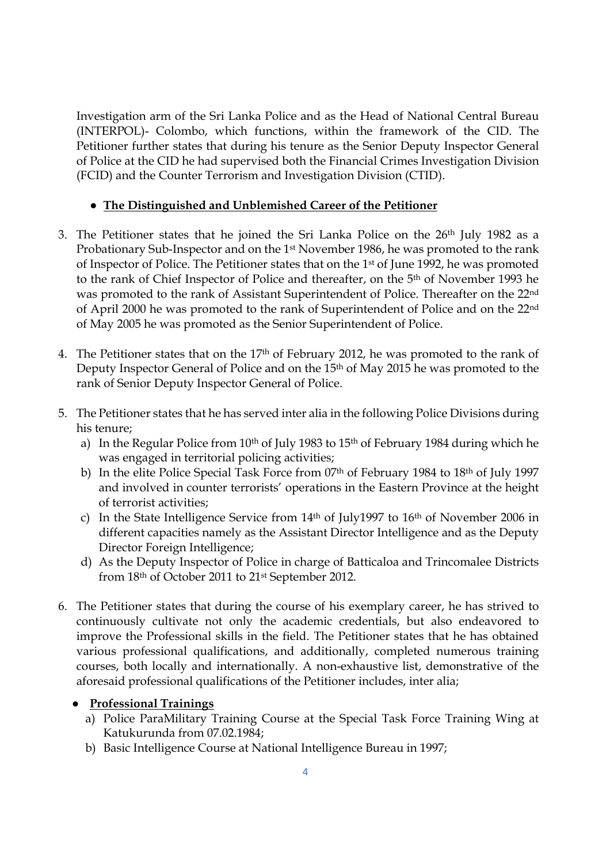Investigation arm of the Sri Lanka Police and as the Head of National Central Bureau (INTERPOL)- Colombo, which functions, within the framework of the CID. The Petitioner further states that during his tenure as the Senior Deputy Inspector General of Police at the CID he had supervised both the Financial Crimes Investigation Division (FCID) and the Counter Terrorism and Investigation Division (CTID).

## ● **The Distinguished and Unblemished Career of the Petitioner**

- 3. The Petitioner states that he joined the Sri Lanka Police on the 26th July 1982 as a Probationary Sub-Inspector and on the 1st November 1986, he was promoted to the rank of Inspector of Police. The Petitioner states that on the 1st of June 1992, he was promoted to the rank of Chief Inspector of Police and thereafter, on the 5th of November 1993 he was promoted to the rank of Assistant Superintendent of Police. Thereafter on the 22nd of April 2000 he was promoted to the rank of Superintendent of Police and on the 22nd of May 2005 he was promoted as the Senior Superintendent of Police.
- 4. The Petitioner states that on the 17th of February 2012, he was promoted to the rank of Deputy Inspector General of Police and on the 15th of May 2015 he was promoted to the rank of Senior Deputy Inspector General of Police.
- 5. The Petitioner states that he has served inter alia in the following Police Divisions during his tenure;
	- a) In the Regular Police from  $10<sup>th</sup>$  of July 1983 to  $15<sup>th</sup>$  of February 1984 during which he was engaged in territorial policing activities;
	- b) In the elite Police Special Task Force from 07th of February 1984 to 18th of July 1997 and involved in counter terrorists' operations in the Eastern Province at the height of terrorist activities;
	- c) In the State Intelligence Service from  $14<sup>th</sup>$  of July1997 to  $16<sup>th</sup>$  of November 2006 in different capacities namely as the Assistant Director Intelligence and as the Deputy Director Foreign Intelligence;
	- d) As the Deputy Inspector of Police in charge of Batticaloa and Trincomalee Districts from 18th of October 2011 to 21st September 2012.
- 6. The Petitioner states that during the course of his exemplary career, he has strived to continuously cultivate not only the academic credentials, but also endeavored to improve the Professional skills in the field. The Petitioner states that he has obtained various professional qualifications, and additionally, completed numerous training courses, both locally and internationally. A non-exhaustive list, demonstrative of the aforesaid professional qualifications of the Petitioner includes, inter alia;

## ● **Professional Trainings**

- a) Police ParaMilitary Training Course at the Special Task Force Training Wing at Katukurunda from 07.02.1984;
- b) Basic Intelligence Course at National Intelligence Bureau in 1997;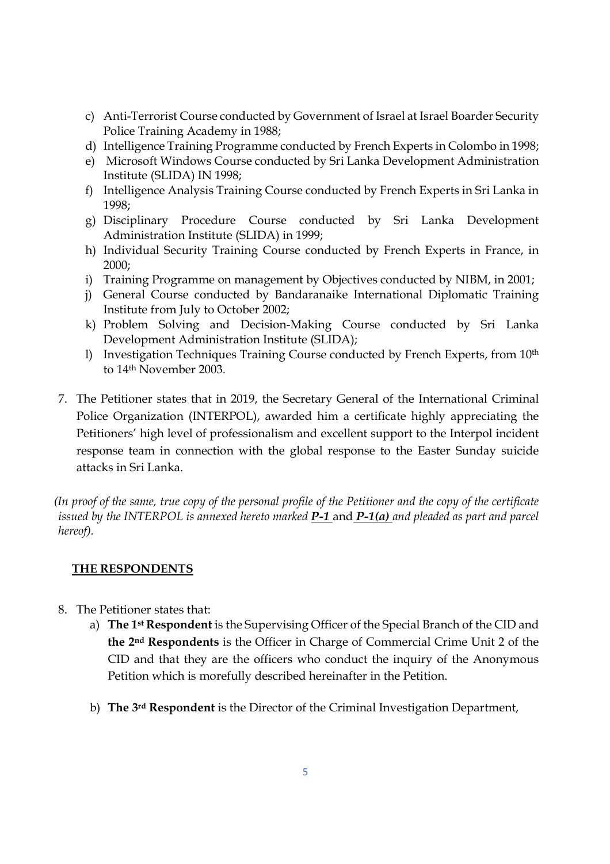- c) Anti-Terrorist Course conducted by Government of Israel at Israel Boarder Security Police Training Academy in 1988;
- d) Intelligence Training Programme conducted by French Experts in Colombo in 1998;
- e) Microsoft Windows Course conducted by Sri Lanka Development Administration Institute (SLIDA) IN 1998;
- f) Intelligence Analysis Training Course conducted by French Experts in Sri Lanka in 1998;
- g) Disciplinary Procedure Course conducted by Sri Lanka Development Administration Institute (SLIDA) in 1999;
- h) Individual Security Training Course conducted by French Experts in France, in 2000;
- i) Training Programme on management by Objectives conducted by NIBM, in 2001;
- j) General Course conducted by Bandaranaike International Diplomatic Training Institute from July to October 2002;
- k) Problem Solving and Decision-Making Course conducted by Sri Lanka Development Administration Institute (SLIDA);
- l) Investigation Techniques Training Course conducted by French Experts, from 10th to 14th November 2003.
- 7. The Petitioner states that in 2019, the Secretary General of the International Criminal Police Organization (INTERPOL), awarded him a certificate highly appreciating the Petitioners' high level of professionalism and excellent support to the Interpol incident response team in connection with the global response to the Easter Sunday suicide attacks in Sri Lanka.

*(In proof of the same, true copy of the personal profile of the Petitioner and the copy of the certificate issued by the INTERPOL is annexed hereto marked P-1* and *P-1(a) and pleaded as part and parcel hereof).* 

#### **THE RESPONDENTS**

- 8. The Petitioner states that:
	- a) **The 1st Respondent** is the Supervising Officer of the Special Branch of the CID and **the 2nd Respondents** is the Officer in Charge of Commercial Crime Unit 2 of the CID and that they are the officers who conduct the inquiry of the Anonymous Petition which is morefully described hereinafter in the Petition.
	- b) **The 3rd Respondent** is the Director of the Criminal Investigation Department,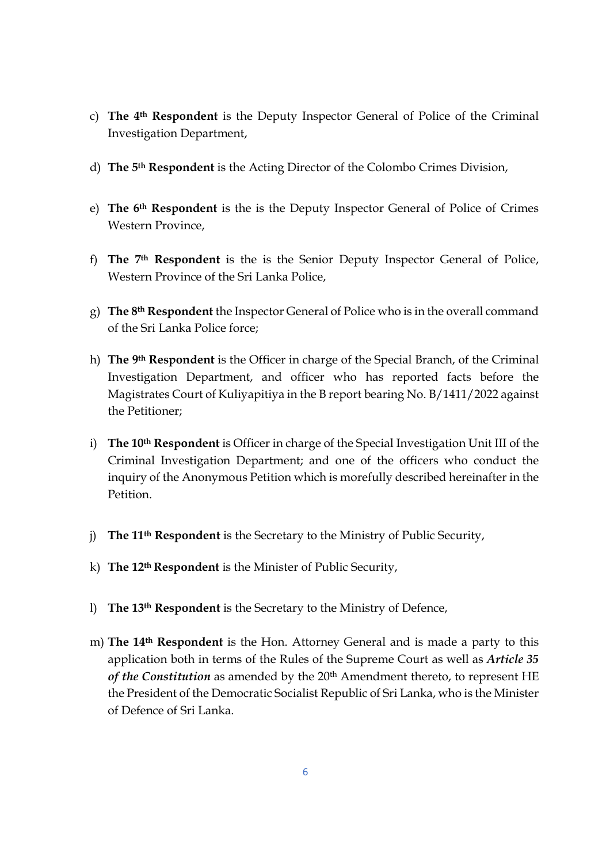- c) **The 4th Respondent** is the Deputy Inspector General of Police of the Criminal Investigation Department,
- d) **The 5th Respondent** is the Acting Director of the Colombo Crimes Division,
- e) **The 6th Respondent** is the is the Deputy Inspector General of Police of Crimes Western Province,
- f) **The 7th Respondent** is the is the Senior Deputy Inspector General of Police, Western Province of the Sri Lanka Police,
- g) **The 8th Respondent** the Inspector General of Police who is in the overall command of the Sri Lanka Police force;
- h) **The 9th Respondent** is the Officer in charge of the Special Branch, of the Criminal Investigation Department, and officer who has reported facts before the Magistrates Court of Kuliyapitiya in the B report bearing No. B/1411/2022 against the Petitioner;
- i) **The 10th Respondent** is Officer in charge of the Special Investigation Unit III of the Criminal Investigation Department; and one of the officers who conduct the inquiry of the Anonymous Petition which is morefully described hereinafter in the Petition.
- j) **The 11th Respondent** is the Secretary to the Ministry of Public Security,
- k) **The 12th Respondent** is the Minister of Public Security,
- l) **The 13th Respondent** is the Secretary to the Ministry of Defence,
- m) **The 14th Respondent** is the Hon. Attorney General and is made a party to this application both in terms of the Rules of the Supreme Court as well as *Article 35* of the Constitution as amended by the 20<sup>th</sup> Amendment thereto, to represent HE the President of the Democratic Socialist Republic of Sri Lanka, who is the Minister of Defence of Sri Lanka.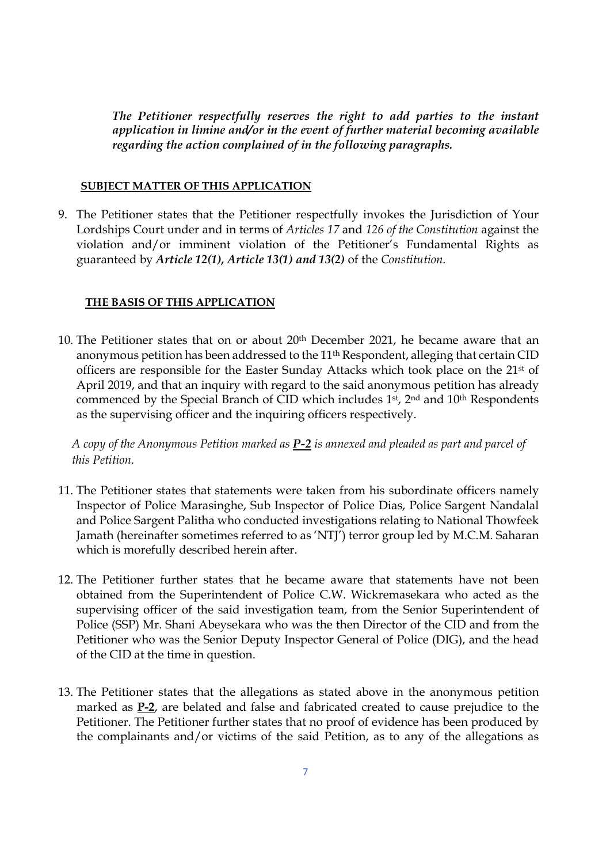*The Petitioner respectfully reserves the right to add parties to the instant application in limine and/or in the event of further material becoming available regarding the action complained of in the following paragraphs.* 

#### **SUBJECT MATTER OF THIS APPLICATION**

9. The Petitioner states that the Petitioner respectfully invokes the Jurisdiction of Your Lordships Court under and in terms of *Articles 17* and *126 of the Constitution* against the violation and/or imminent violation of the Petitioner's Fundamental Rights as guaranteed by *Article 12(1), Article 13(1) and 13(2)* of the *Constitution.*

#### **THE BASIS OF THIS APPLICATION**

10. The Petitioner states that on or about 20th December 2021, he became aware that an anonymous petition has been addressed to the 11<sup>th</sup> Respondent, alleging that certain CID officers are responsible for the Easter Sunday Attacks which took place on the 21st of April 2019, and that an inquiry with regard to the said anonymous petition has already commenced by the Special Branch of CID which includes 1st, 2nd and 10th Respondents as the supervising officer and the inquiring officers respectively.

*A copy of the Anonymous Petition marked as P-2 is annexed and pleaded as part and parcel of this Petition.* 

- 11. The Petitioner states that statements were taken from his subordinate officers namely Inspector of Police Marasinghe, Sub Inspector of Police Dias, Police Sargent Nandalal and Police Sargent Palitha who conducted investigations relating to National Thowfeek Jamath (hereinafter sometimes referred to as 'NTJ') terror group led by M.C.M. Saharan which is morefully described herein after.
- 12. The Petitioner further states that he became aware that statements have not been obtained from the Superintendent of Police C.W. Wickremasekara who acted as the supervising officer of the said investigation team, from the Senior Superintendent of Police (SSP) Mr. Shani Abeysekara who was the then Director of the CID and from the Petitioner who was the Senior Deputy Inspector General of Police (DIG), and the head of the CID at the time in question.
- 13. The Petitioner states that the allegations as stated above in the anonymous petition marked as **P-2**, are belated and false and fabricated created to cause prejudice to the Petitioner. The Petitioner further states that no proof of evidence has been produced by the complainants and/or victims of the said Petition, as to any of the allegations as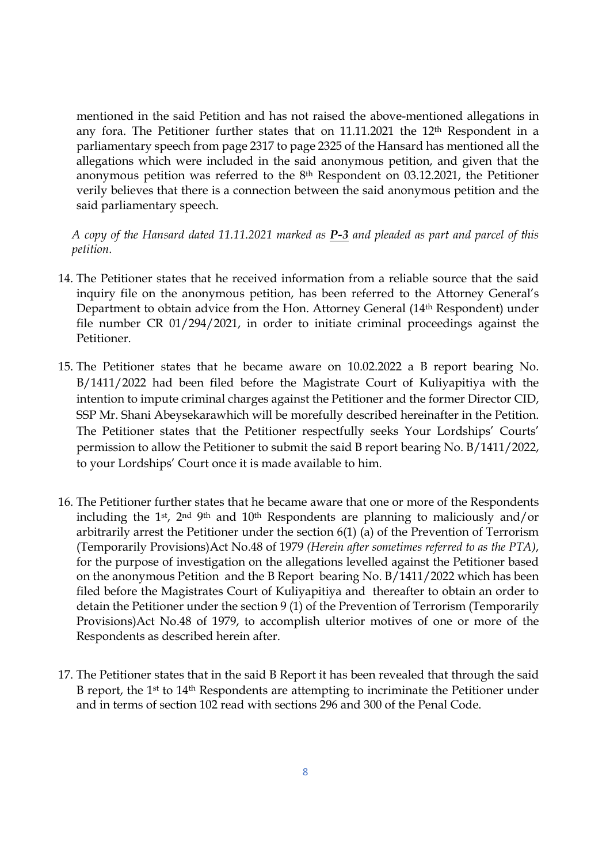mentioned in the said Petition and has not raised the above-mentioned allegations in any fora. The Petitioner further states that on 11.11.2021 the 12th Respondent in a parliamentary speech from page 2317 to page 2325 of the Hansard has mentioned all the allegations which were included in the said anonymous petition, and given that the anonymous petition was referred to the  $8<sup>th</sup>$  Respondent on 03.12.2021, the Petitioner verily believes that there is a connection between the said anonymous petition and the said parliamentary speech.

*A copy of the Hansard dated 11.11.2021 marked as P-3 and pleaded as part and parcel of this petition.* 

- 14. The Petitioner states that he received information from a reliable source that the said inquiry file on the anonymous petition, has been referred to the Attorney General's Department to obtain advice from the Hon. Attorney General (14th Respondent) under file number CR 01/294/2021, in order to initiate criminal proceedings against the Petitioner.
- 15. The Petitioner states that he became aware on 10.02.2022 a B report bearing No. B/1411/2022 had been filed before the Magistrate Court of Kuliyapitiya with the intention to impute criminal charges against the Petitioner and the former Director CID, SSP Mr. Shani Abeysekarawhich will be morefully described hereinafter in the Petition. The Petitioner states that the Petitioner respectfully seeks Your Lordships' Courts' permission to allow the Petitioner to submit the said B report bearing No. B/1411/2022, to your Lordships' Court once it is made available to him.
- 16. The Petitioner further states that he became aware that one or more of the Respondents including the 1st, 2nd 9th and 10th Respondents are planning to maliciously and/or arbitrarily arrest the Petitioner under the section 6(1) (a) of the Prevention of Terrorism (Temporarily Provisions)Act No.48 of 1979 *(Herein after sometimes referred to as the PTA)*, for the purpose of investigation on the allegations levelled against the Petitioner based on the anonymous Petition and the B Report bearing No. B/1411/2022 which has been filed before the Magistrates Court of Kuliyapitiya and thereafter to obtain an order to detain the Petitioner under the section 9 (1) of the Prevention of Terrorism (Temporarily Provisions)Act No.48 of 1979, to accomplish ulterior motives of one or more of the Respondents as described herein after.
- 17. The Petitioner states that in the said B Report it has been revealed that through the said B report, the 1st to 14th Respondents are attempting to incriminate the Petitioner under and in terms of section 102 read with sections 296 and 300 of the Penal Code.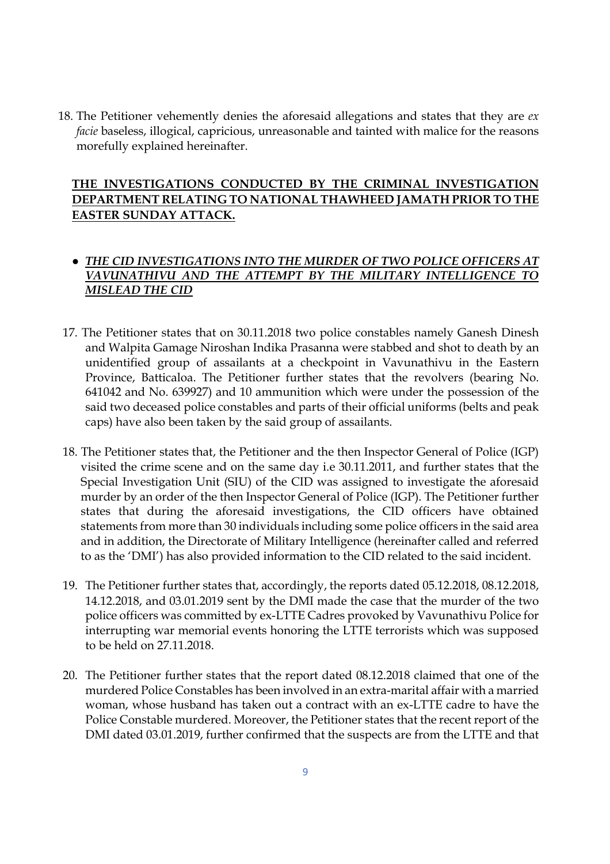18. The Petitioner vehemently denies the aforesaid allegations and states that they are *ex facie* baseless, illogical, capricious, unreasonable and tainted with malice for the reasons morefully explained hereinafter.

## **THE INVESTIGATIONS CONDUCTED BY THE CRIMINAL INVESTIGATION DEPARTMENT RELATING TO NATIONAL THAWHEED JAMATH PRIOR TO THE EASTER SUNDAY ATTACK.**

## ● *THE CID INVESTIGATIONS INTO THE MURDER OF TWO POLICE OFFICERS AT VAVUNATHIVU AND THE ATTEMPT BY THE MILITARY INTELLIGENCE TO MISLEAD THE CID*

- 17. The Petitioner states that on 30.11.2018 two police constables namely Ganesh Dinesh and Walpita Gamage Niroshan Indika Prasanna were stabbed and shot to death by an unidentified group of assailants at a checkpoint in Vavunathivu in the Eastern Province, Batticaloa. The Petitioner further states that the revolvers (bearing No. 641042 and No. 639927) and 10 ammunition which were under the possession of the said two deceased police constables and parts of their official uniforms (belts and peak caps) have also been taken by the said group of assailants.
- 18. The Petitioner states that, the Petitioner and the then Inspector General of Police (IGP) visited the crime scene and on the same day i.e 30.11.2011, and further states that the Special Investigation Unit (SIU) of the CID was assigned to investigate the aforesaid murder by an order of the then Inspector General of Police (IGP). The Petitioner further states that during the aforesaid investigations, the CID officers have obtained statements from more than 30 individuals including some police officers in the said area and in addition, the Directorate of Military Intelligence (hereinafter called and referred to as the 'DMI') has also provided information to the CID related to the said incident.
- 19. The Petitioner further states that, accordingly, the reports dated 05.12.2018, 08.12.2018, 14.12.2018, and 03.01.2019 sent by the DMI made the case that the murder of the two police officers was committed by ex-LTTE Cadres provoked by Vavunathivu Police for interrupting war memorial events honoring the LTTE terrorists which was supposed to be held on 27.11.2018.
- 20. The Petitioner further states that the report dated 08.12.2018 claimed that one of the murdered Police Constables has been involved in an extra-marital affair with a married woman, whose husband has taken out a contract with an ex-LTTE cadre to have the Police Constable murdered. Moreover, the Petitioner states that the recent report of the DMI dated 03.01.2019, further confirmed that the suspects are from the LTTE and that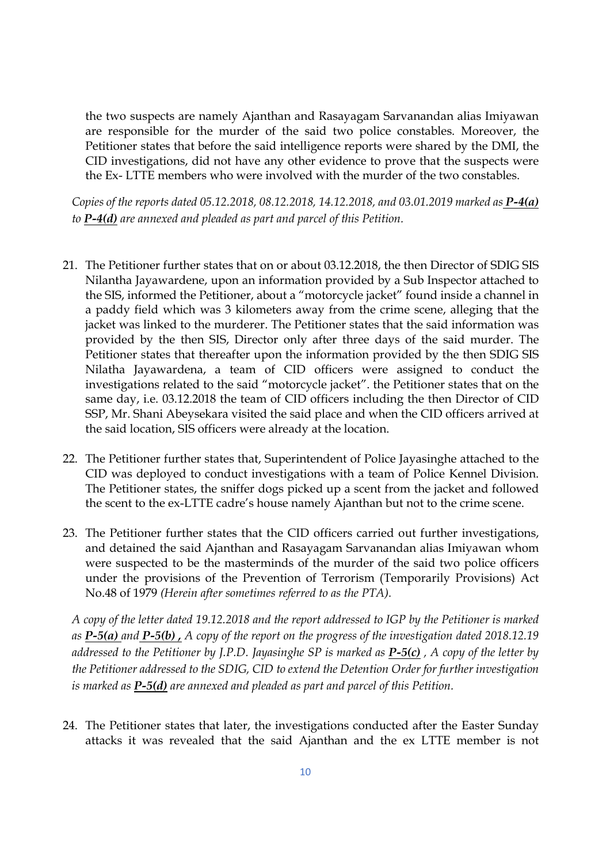the two suspects are namely Ajanthan and Rasayagam Sarvanandan alias Imiyawan are responsible for the murder of the said two police constables. Moreover, the Petitioner states that before the said intelligence reports were shared by the DMI, the CID investigations, did not have any other evidence to prove that the suspects were the Ex- LTTE members who were involved with the murder of the two constables.

*Copies of the reports dated 05.12.2018, 08.12.2018, 14.12.2018, and 03.01.2019 marked as P-4(a) to P-4(d) are annexed and pleaded as part and parcel of this Petition.* 

- 21. The Petitioner further states that on or about 03.12.2018, the then Director of SDIG SIS Nilantha Jayawardene, upon an information provided by a Sub Inspector attached to the SIS, informed the Petitioner, about a "motorcycle jacket" found inside a channel in a paddy field which was 3 kilometers away from the crime scene, alleging that the jacket was linked to the murderer. The Petitioner states that the said information was provided by the then SIS, Director only after three days of the said murder. The Petitioner states that thereafter upon the information provided by the then SDIG SIS Nilatha Jayawardena, a team of CID officers were assigned to conduct the investigations related to the said "motorcycle jacket". the Petitioner states that on the same day, i.e. 03.12.2018 the team of CID officers including the then Director of CID SSP, Mr. Shani Abeysekara visited the said place and when the CID officers arrived at the said location, SIS officers were already at the location.
- 22. The Petitioner further states that, Superintendent of Police Jayasinghe attached to the CID was deployed to conduct investigations with a team of Police Kennel Division. The Petitioner states, the sniffer dogs picked up a scent from the jacket and followed the scent to the ex-LTTE cadre's house namely Ajanthan but not to the crime scene.
- 23. The Petitioner further states that the CID officers carried out further investigations, and detained the said Ajanthan and Rasayagam Sarvanandan alias Imiyawan whom were suspected to be the masterminds of the murder of the said two police officers under the provisions of the Prevention of Terrorism (Temporarily Provisions) Act No.48 of 1979 *(Herein after sometimes referred to as the PTA).*

*A copy of the letter dated 19.12.2018 and the report addressed to IGP by the Petitioner is marked as P-5(a) and P-5(b) , A copy of the report on the progress of the investigation dated 2018.12.19 addressed to the Petitioner by J.P.D. Jayasinghe SP is marked as P-5(c) , A copy of the letter by the Petitioner addressed to the SDIG, CID to extend the Detention Order for further investigation is marked as P-5(d) are annexed and pleaded as part and parcel of this Petition.* 

24. The Petitioner states that later, the investigations conducted after the Easter Sunday attacks it was revealed that the said Ajanthan and the ex LTTE member is not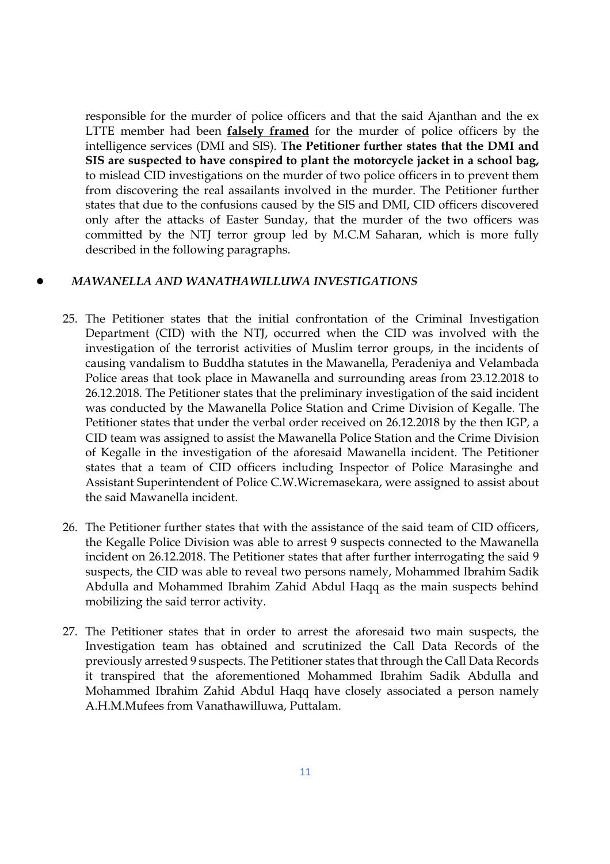responsible for the murder of police officers and that the said Ajanthan and the ex LTTE member had been **falsely framed** for the murder of police officers by the intelligence services (DMI and SIS). **The Petitioner further states that the DMI and SIS are suspected to have conspired to plant the motorcycle jacket in a school bag,** to mislead CID investigations on the murder of two police officers in to prevent them from discovering the real assailants involved in the murder. The Petitioner further states that due to the confusions caused by the SIS and DMI, CID officers discovered only after the attacks of Easter Sunday, that the murder of the two officers was committed by the NTJ terror group led by M.C.M Saharan, which is more fully described in the following paragraphs.

## ● *MAWANELLA AND WANATHAWILLUWA INVESTIGATIONS*

- 25. The Petitioner states that the initial confrontation of the Criminal Investigation Department (CID) with the NTJ, occurred when the CID was involved with the investigation of the terrorist activities of Muslim terror groups, in the incidents of causing vandalism to Buddha statutes in the Mawanella, Peradeniya and Velambada Police areas that took place in Mawanella and surrounding areas from 23.12.2018 to 26.12.2018. The Petitioner states that the preliminary investigation of the said incident was conducted by the Mawanella Police Station and Crime Division of Kegalle. The Petitioner states that under the verbal order received on 26.12.2018 by the then IGP, a CID team was assigned to assist the Mawanella Police Station and the Crime Division of Kegalle in the investigation of the aforesaid Mawanella incident. The Petitioner states that a team of CID officers including Inspector of Police Marasinghe and Assistant Superintendent of Police C.W.Wicremasekara, were assigned to assist about the said Mawanella incident.
- 26. The Petitioner further states that with the assistance of the said team of CID officers, the Kegalle Police Division was able to arrest 9 suspects connected to the Mawanella incident on 26.12.2018. The Petitioner states that after further interrogating the said 9 suspects, the CID was able to reveal two persons namely, Mohammed Ibrahim Sadik Abdulla and Mohammed Ibrahim Zahid Abdul Haqq as the main suspects behind mobilizing the said terror activity.
- 27. The Petitioner states that in order to arrest the aforesaid two main suspects, the Investigation team has obtained and scrutinized the Call Data Records of the previously arrested 9 suspects. The Petitioner states that through the Call Data Records it transpired that the aforementioned Mohammed Ibrahim Sadik Abdulla and Mohammed Ibrahim Zahid Abdul Haqq have closely associated a person namely A.H.M.Mufees from Vanathawilluwa, Puttalam.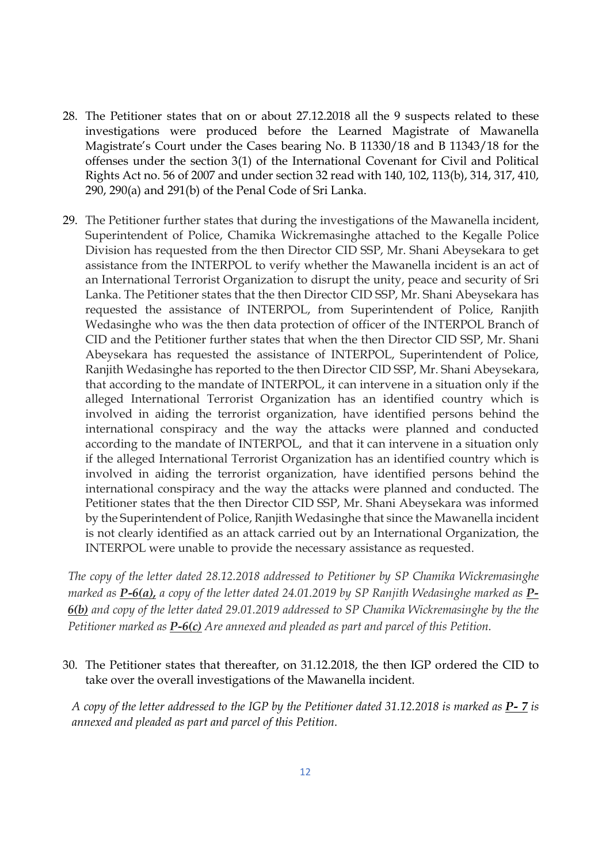- 28. The Petitioner states that on or about 27.12.2018 all the 9 suspects related to these investigations were produced before the Learned Magistrate of Mawanella Magistrate's Court under the Cases bearing No. B 11330/18 and B 11343/18 for the offenses under the section 3(1) of the International Covenant for Civil and Political Rights Act no. 56 of 2007 and under section 32 read with 140, 102, 113(b), 314, 317, 410, 290, 290(a) and 291(b) of the Penal Code of Sri Lanka.
- 29. The Petitioner further states that during the investigations of the Mawanella incident, Superintendent of Police, Chamika Wickremasinghe attached to the Kegalle Police Division has requested from the then Director CID SSP, Mr. Shani Abeysekara to get assistance from the INTERPOL to verify whether the Mawanella incident is an act of an International Terrorist Organization to disrupt the unity, peace and security of Sri Lanka. The Petitioner states that the then Director CID SSP, Mr. Shani Abeysekara has requested the assistance of INTERPOL, from Superintendent of Police, Ranjith Wedasinghe who was the then data protection of officer of the INTERPOL Branch of CID and the Petitioner further states that when the then Director CID SSP, Mr. Shani Abeysekara has requested the assistance of INTERPOL, Superintendent of Police, Ranjith Wedasinghe has reported to the then Director CID SSP, Mr. Shani Abeysekara, that according to the mandate of INTERPOL, it can intervene in a situation only if the alleged International Terrorist Organization has an identified country which is involved in aiding the terrorist organization, have identified persons behind the international conspiracy and the way the attacks were planned and conducted according to the mandate of INTERPOL, and that it can intervene in a situation only if the alleged International Terrorist Organization has an identified country which is involved in aiding the terrorist organization, have identified persons behind the international conspiracy and the way the attacks were planned and conducted. The Petitioner states that the then Director CID SSP, Mr. Shani Abeysekara was informed by the Superintendent of Police, Ranjith Wedasinghe that since the Mawanella incident is not clearly identified as an attack carried out by an International Organization, the INTERPOL were unable to provide the necessary assistance as requested.

*The copy of the letter dated 28.12.2018 addressed to Petitioner by SP Chamika Wickremasinghe marked as P-6(a), a copy of the letter dated 24.01.2019 by SP Ranjith Wedasinghe marked as P-6(b) and copy of the letter dated 29.01.2019 addressed to SP Chamika Wickremasinghe by the the Petitioner marked as P-6(c) Are annexed and pleaded as part and parcel of this Petition.* 

30. The Petitioner states that thereafter, on 31.12.2018, the then IGP ordered the CID to take over the overall investigations of the Mawanella incident.

*A copy of the letter addressed to the IGP by the Petitioner dated 31.12.2018 is marked as P-7 <i>is annexed and pleaded as part and parcel of this Petition.*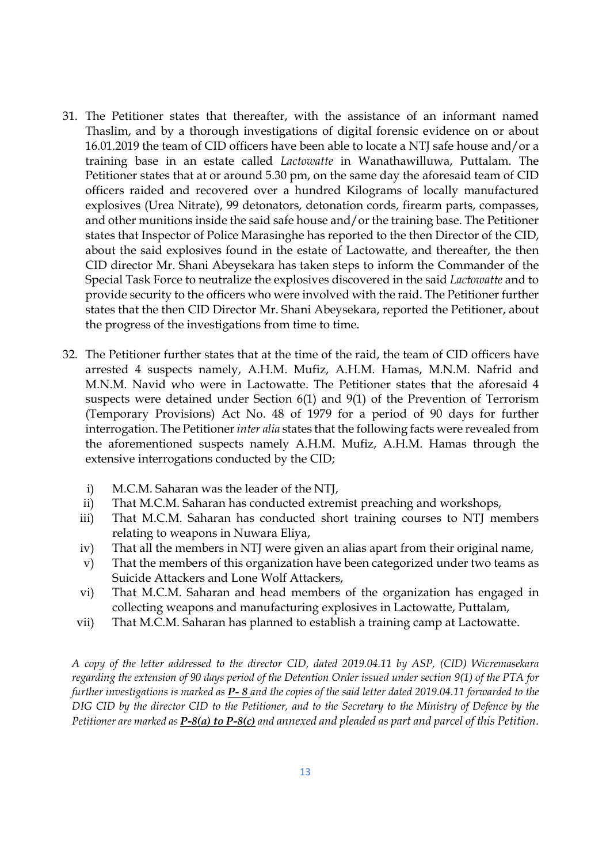- 31. The Petitioner states that thereafter, with the assistance of an informant named Thaslim, and by a thorough investigations of digital forensic evidence on or about 16.01.2019 the team of CID officers have been able to locate a NTJ safe house and/or a training base in an estate called *Lactowatte* in Wanathawilluwa, Puttalam. The Petitioner states that at or around 5.30 pm, on the same day the aforesaid team of CID officers raided and recovered over a hundred Kilograms of locally manufactured explosives (Urea Nitrate), 99 detonators, detonation cords, firearm parts, compasses, and other munitions inside the said safe house and/or the training base. The Petitioner states that Inspector of Police Marasinghe has reported to the then Director of the CID, about the said explosives found in the estate of Lactowatte, and thereafter, the then CID director Mr. Shani Abeysekara has taken steps to inform the Commander of the Special Task Force to neutralize the explosives discovered in the said *Lactowatte* and to provide security to the officers who were involved with the raid. The Petitioner further states that the then CID Director Mr. Shani Abeysekara, reported the Petitioner, about the progress of the investigations from time to time.
- 32. The Petitioner further states that at the time of the raid, the team of CID officers have arrested 4 suspects namely, A.H.M. Mufiz, A.H.M. Hamas, M.N.M. Nafrid and M.N.M. Navid who were in Lactowatte. The Petitioner states that the aforesaid 4 suspects were detained under Section 6(1) and 9(1) of the Prevention of Terrorism (Temporary Provisions) Act No. 48 of 1979 for a period of 90 days for further interrogation. The Petitioner *inter alia* states that the following facts were revealed from the aforementioned suspects namely A.H.M. Mufiz, A.H.M. Hamas through the extensive interrogations conducted by the CID;
	- i) M.C.M. Saharan was the leader of the NTJ,
	- ii) That M.C.M. Saharan has conducted extremist preaching and workshops,
	- iii) That M.C.M. Saharan has conducted short training courses to NTJ members relating to weapons in Nuwara Eliya,
	- iv) That all the members in NTJ were given an alias apart from their original name,
	- v) That the members of this organization have been categorized under two teams as Suicide Attackers and Lone Wolf Attackers,
	- vi) That M.C.M. Saharan and head members of the organization has engaged in collecting weapons and manufacturing explosives in Lactowatte, Puttalam,
	- vii) That M.C.M. Saharan has planned to establish a training camp at Lactowatte.

*A copy of the letter addressed to the director CID, dated 2019.04.11 by ASP, (CID) Wicremasekara regarding the extension of 90 days period of the Detention Order issued under section 9(1) of the PTA for further investigations is marked as P- 8 and the copies of the said letter dated 2019.04.11 forwarded to the DIG CID by the director CID to the Petitioner, and to the Secretary to the Ministry of Defence by the Petitioner are marked as P-8(a) to P-8(c) and annexed and pleaded as part and parcel of this Petition.*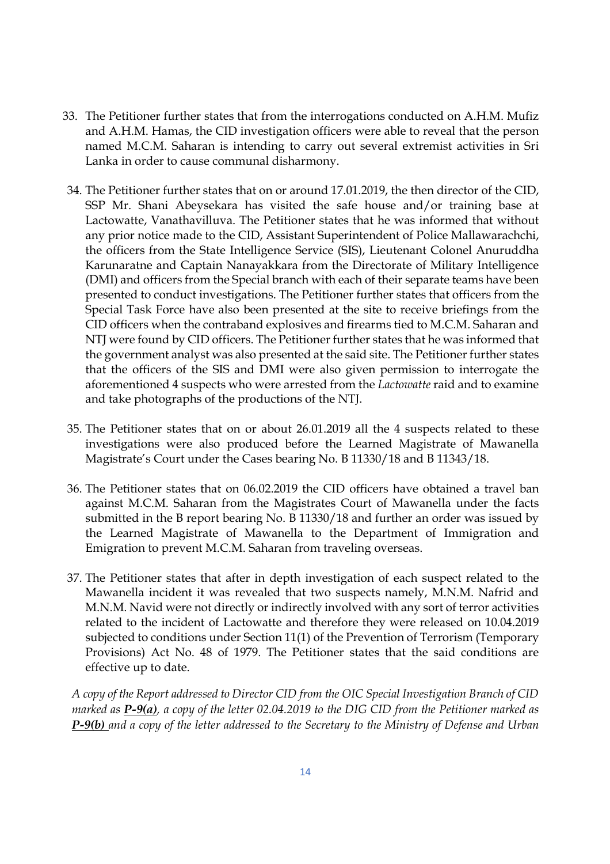- 33. The Petitioner further states that from the interrogations conducted on A.H.M. Mufiz and A.H.M. Hamas, the CID investigation officers were able to reveal that the person named M.C.M. Saharan is intending to carry out several extremist activities in Sri Lanka in order to cause communal disharmony.
- 34. The Petitioner further states that on or around 17.01.2019, the then director of the CID, SSP Mr. Shani Abeysekara has visited the safe house and/or training base at Lactowatte, Vanathavilluva. The Petitioner states that he was informed that without any prior notice made to the CID, Assistant Superintendent of Police Mallawarachchi, the officers from the State Intelligence Service (SIS), Lieutenant Colonel Anuruddha Karunaratne and Captain Nanayakkara from the Directorate of Military Intelligence (DMI) and officers from the Special branch with each of their separate teams have been presented to conduct investigations. The Petitioner further states that officers from the Special Task Force have also been presented at the site to receive briefings from the CID officers when the contraband explosives and firearms tied to M.C.M. Saharan and NTJ were found by CID officers. The Petitioner further states that he was informed that the government analyst was also presented at the said site. The Petitioner further states that the officers of the SIS and DMI were also given permission to interrogate the aforementioned 4 suspects who were arrested from the *Lactowatte* raid and to examine and take photographs of the productions of the NTJ.
- 35. The Petitioner states that on or about 26.01.2019 all the 4 suspects related to these investigations were also produced before the Learned Magistrate of Mawanella Magistrate's Court under the Cases bearing No. B 11330/18 and B 11343/18.
- 36. The Petitioner states that on 06.02.2019 the CID officers have obtained a travel ban against M.C.M. Saharan from the Magistrates Court of Mawanella under the facts submitted in the B report bearing No. B 11330/18 and further an order was issued by the Learned Magistrate of Mawanella to the Department of Immigration and Emigration to prevent M.C.M. Saharan from traveling overseas.
- 37. The Petitioner states that after in depth investigation of each suspect related to the Mawanella incident it was revealed that two suspects namely, M.N.M. Nafrid and M.N.M. Navid were not directly or indirectly involved with any sort of terror activities related to the incident of Lactowatte and therefore they were released on 10.04.2019 subjected to conditions under Section 11(1) of the Prevention of Terrorism (Temporary Provisions) Act No. 48 of 1979. The Petitioner states that the said conditions are effective up to date.

*A copy of the Report addressed to Director CID from the OIC Special Investigation Branch of CID marked as P-9(a), a copy of the letter 02.04.2019 to the DIG CID from the Petitioner marked as P-9(b) and a copy of the letter addressed to the Secretary to the Ministry of Defense and Urban*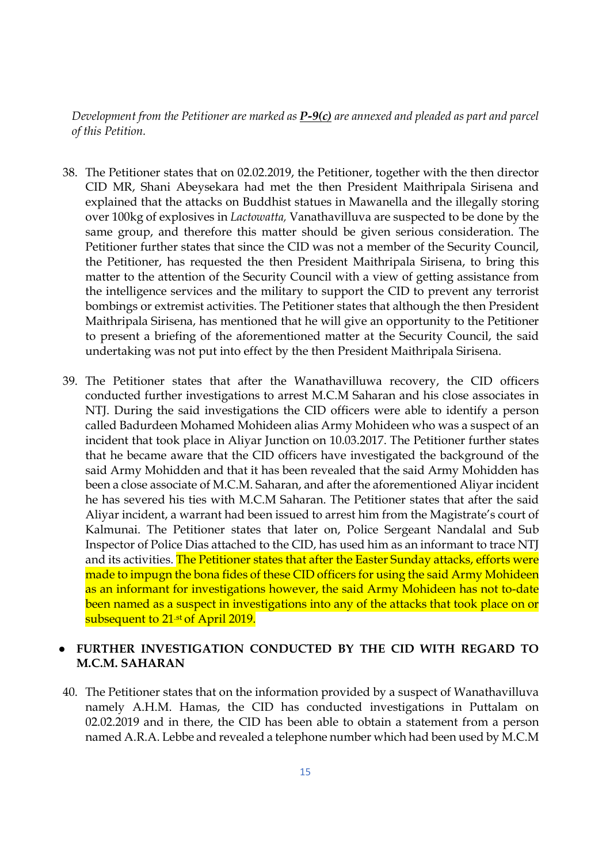*Development from the Petitioner are marked as P-9(c) are annexed and pleaded as part and parcel of this Petition.* 

- 38. The Petitioner states that on 02.02.2019, the Petitioner, together with the then director CID MR, Shani Abeysekara had met the then President Maithripala Sirisena and explained that the attacks on Buddhist statues in Mawanella and the illegally storing over 100kg of explosives in *Lactowatta,* Vanathavilluva are suspected to be done by the same group, and therefore this matter should be given serious consideration. The Petitioner further states that since the CID was not a member of the Security Council, the Petitioner, has requested the then President Maithripala Sirisena, to bring this matter to the attention of the Security Council with a view of getting assistance from the intelligence services and the military to support the CID to prevent any terrorist bombings or extremist activities. The Petitioner states that although the then President Maithripala Sirisena, has mentioned that he will give an opportunity to the Petitioner to present a briefing of the aforementioned matter at the Security Council, the said undertaking was not put into effect by the then President Maithripala Sirisena.
- 39. The Petitioner states that after the Wanathavilluwa recovery, the CID officers conducted further investigations to arrest M.C.M Saharan and his close associates in NTJ. During the said investigations the CID officers were able to identify a person called Badurdeen Mohamed Mohideen alias Army Mohideen who was a suspect of an incident that took place in Aliyar Junction on 10.03.2017. The Petitioner further states that he became aware that the CID officers have investigated the background of the said Army Mohidden and that it has been revealed that the said Army Mohidden has been a close associate of M.C.M. Saharan, and after the aforementioned Aliyar incident he has severed his ties with M.C.M Saharan. The Petitioner states that after the said Aliyar incident, a warrant had been issued to arrest him from the Magistrate's court of Kalmunai. The Petitioner states that later on, Police Sergeant Nandalal and Sub Inspector of Police Dias attached to the CID, has used him as an informant to trace NTJ and its activities. The Petitioner states that after the Easter Sunday attacks, efforts were made to impugn the bona fides of these CID officers for using the said Army Mohideen as an informant for investigations however, the said Army Mohideen has not to-date been named as a suspect in investigations into any of the attacks that took place on or subsequent to 21<sup>.st</sup> of April 2019.

## ● **FURTHER INVESTIGATION CONDUCTED BY THE CID WITH REGARD TO M.C.M. SAHARAN**

40. The Petitioner states that on the information provided by a suspect of Wanathavilluva namely A.H.M. Hamas, the CID has conducted investigations in Puttalam on 02.02.2019 and in there, the CID has been able to obtain a statement from a person named A.R.A. Lebbe and revealed a telephone number which had been used by M.C.M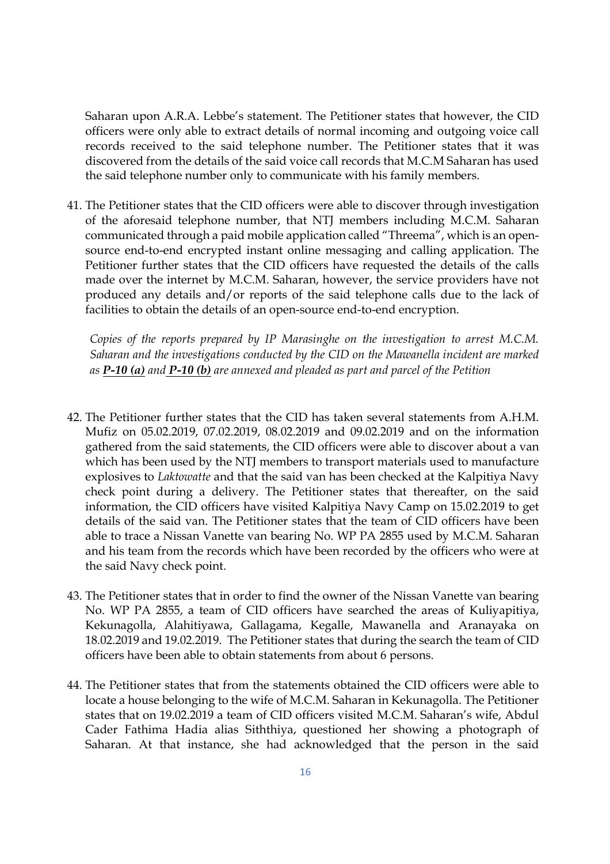Saharan upon A.R.A. Lebbe's statement. The Petitioner states that however, the CID officers were only able to extract details of normal incoming and outgoing voice call records received to the said telephone number. The Petitioner states that it was discovered from the details of the said voice call records that M.C.M Saharan has used the said telephone number only to communicate with his family members.

41. The Petitioner states that the CID officers were able to discover through investigation of the aforesaid telephone number, that NTJ members including M.C.M. Saharan communicated through a paid mobile application called "Threema", which is an opensource end-to-end encrypted instant online messaging and calling application. The Petitioner further states that the CID officers have requested the details of the calls made over the internet by M.C.M. Saharan, however, the service providers have not produced any details and/or reports of the said telephone calls due to the lack of facilities to obtain the details of an open-source end-to-end encryption.

*Copies of the reports prepared by IP Marasinghe on the investigation to arrest M.C.M. Saharan and the investigations conducted by the CID on the Mawanella incident are marked as P-10 (a) and P-10 (b) are annexed and pleaded as part and parcel of the Petition* 

- 42. The Petitioner further states that the CID has taken several statements from A.H.M. Mufiz on 05.02.2019, 07.02.2019, 08.02.2019 and 09.02.2019 and on the information gathered from the said statements, the CID officers were able to discover about a van which has been used by the NTJ members to transport materials used to manufacture explosives to *Laktowatte* and that the said van has been checked at the Kalpitiya Navy check point during a delivery. The Petitioner states that thereafter, on the said information, the CID officers have visited Kalpitiya Navy Camp on 15.02.2019 to get details of the said van. The Petitioner states that the team of CID officers have been able to trace a Nissan Vanette van bearing No. WP PA 2855 used by M.C.M. Saharan and his team from the records which have been recorded by the officers who were at the said Navy check point.
- 43. The Petitioner states that in order to find the owner of the Nissan Vanette van bearing No. WP PA 2855, a team of CID officers have searched the areas of Kuliyapitiya, Kekunagolla, Alahitiyawa, Gallagama, Kegalle, Mawanella and Aranayaka on 18.02.2019 and 19.02.2019. The Petitioner states that during the search the team of CID officers have been able to obtain statements from about 6 persons.
- 44. The Petitioner states that from the statements obtained the CID officers were able to locate a house belonging to the wife of M.C.M. Saharan in Kekunagolla. The Petitioner states that on 19.02.2019 a team of CID officers visited M.C.M. Saharan's wife, Abdul Cader Fathima Hadia alias Siththiya, questioned her showing a photograph of Saharan. At that instance, she had acknowledged that the person in the said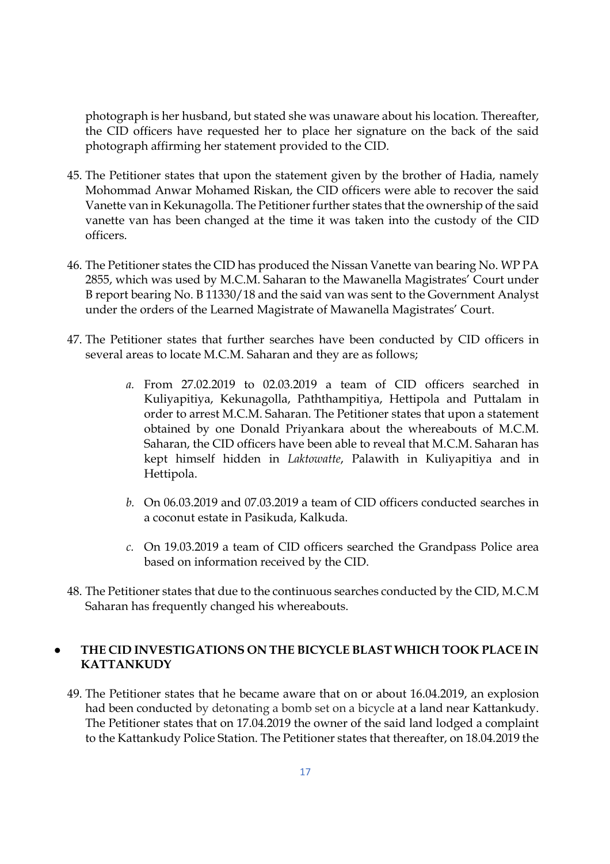photograph is her husband, but stated she was unaware about his location. Thereafter, the CID officers have requested her to place her signature on the back of the said photograph affirming her statement provided to the CID.

- 45. The Petitioner states that upon the statement given by the brother of Hadia, namely Mohommad Anwar Mohamed Riskan, the CID officers were able to recover the said Vanette van in Kekunagolla. The Petitioner further states that the ownership of the said vanette van has been changed at the time it was taken into the custody of the CID officers.
- 46. The Petitioner states the CID has produced the Nissan Vanette van bearing No. WP PA 2855, which was used by M.C.M. Saharan to the Mawanella Magistrates' Court under B report bearing No. B 11330/18 and the said van was sent to the Government Analyst under the orders of the Learned Magistrate of Mawanella Magistrates' Court.
- 47. The Petitioner states that further searches have been conducted by CID officers in several areas to locate M.C.M. Saharan and they are as follows;
	- *a.* From 27.02.2019 to 02.03.2019 a team of CID officers searched in Kuliyapitiya, Kekunagolla, Paththampitiya, Hettipola and Puttalam in order to arrest M.C.M. Saharan. The Petitioner states that upon a statement obtained by one Donald Priyankara about the whereabouts of M.C.M. Saharan, the CID officers have been able to reveal that M.C.M. Saharan has kept himself hidden in *Laktowatte*, Palawith in Kuliyapitiya and in Hettipola.
	- *b.* On 06.03.2019 and 07.03.2019 a team of CID officers conducted searches in a coconut estate in Pasikuda, Kalkuda.
	- *c.* On 19.03.2019 a team of CID officers searched the Grandpass Police area based on information received by the CID.
- 48. The Petitioner states that due to the continuous searches conducted by the CID, M.C.M Saharan has frequently changed his whereabouts.

## ● **THE CID INVESTIGATIONS ON THE BICYCLE BLAST WHICH TOOK PLACE IN KATTANKUDY**

49. The Petitioner states that he became aware that on or about 16.04.2019, an explosion had been conducted by detonating a bomb set on a bicycle at a land near Kattankudy. The Petitioner states that on 17.04.2019 the owner of the said land lodged a complaint to the Kattankudy Police Station. The Petitioner states that thereafter, on 18.04.2019 the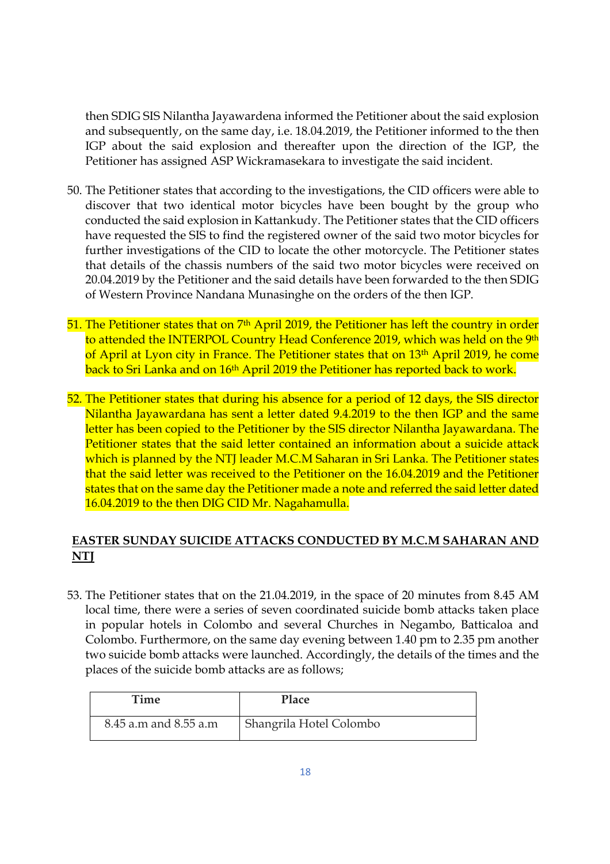then SDIG SIS Nilantha Jayawardena informed the Petitioner about the said explosion and subsequently, on the same day, i.e. 18.04.2019, the Petitioner informed to the then IGP about the said explosion and thereafter upon the direction of the IGP, the Petitioner has assigned ASP Wickramasekara to investigate the said incident.

- 50. The Petitioner states that according to the investigations, the CID officers were able to discover that two identical motor bicycles have been bought by the group who conducted the said explosion in Kattankudy. The Petitioner states that the CID officers have requested the SIS to find the registered owner of the said two motor bicycles for further investigations of the CID to locate the other motorcycle. The Petitioner states that details of the chassis numbers of the said two motor bicycles were received on 20.04.2019 by the Petitioner and the said details have been forwarded to the then SDIG of Western Province Nandana Munasinghe on the orders of the then IGP.
- 51. The Petitioner states that on 7<sup>th</sup> April 2019, the Petitioner has left the country in order to attended the INTERPOL Country Head Conference 2019, which was held on the 9th of April at Lyon city in France. The Petitioner states that on 13<sup>th</sup> April 2019, he come back to Sri Lanka and on 16<sup>th</sup> April 2019 the Petitioner has reported back to work.
- 52. The Petitioner states that during his absence for a period of 12 days, the SIS director Nilantha Jayawardana has sent a letter dated 9.4.2019 to the then IGP and the same letter has been copied to the Petitioner by the SIS director Nilantha Jayawardana. The Petitioner states that the said letter contained an information about a suicide attack which is planned by the NTJ leader M.C.M Saharan in Sri Lanka. The Petitioner states that the said letter was received to the Petitioner on the 16.04.2019 and the Petitioner states that on the same day the Petitioner made a note and referred the said letter dated 16.04.2019 to the then DIG CID Mr. Nagahamulla.

## **EASTER SUNDAY SUICIDE ATTACKS CONDUCTED BY M.C.M SAHARAN AND NTJ**

53. The Petitioner states that on the 21.04.2019, in the space of 20 minutes from 8.45 AM local time, there were a series of seven coordinated suicide bomb attacks taken place in popular hotels in Colombo and several Churches in Negambo, Batticaloa and Colombo. Furthermore, on the same day evening between 1.40 pm to 2.35 pm another two suicide bomb attacks were launched. Accordingly, the details of the times and the places of the suicide bomb attacks are as follows;

| Time                  | Place                   |
|-----------------------|-------------------------|
| 8.45 a.m and 8.55 a.m | Shangrila Hotel Colombo |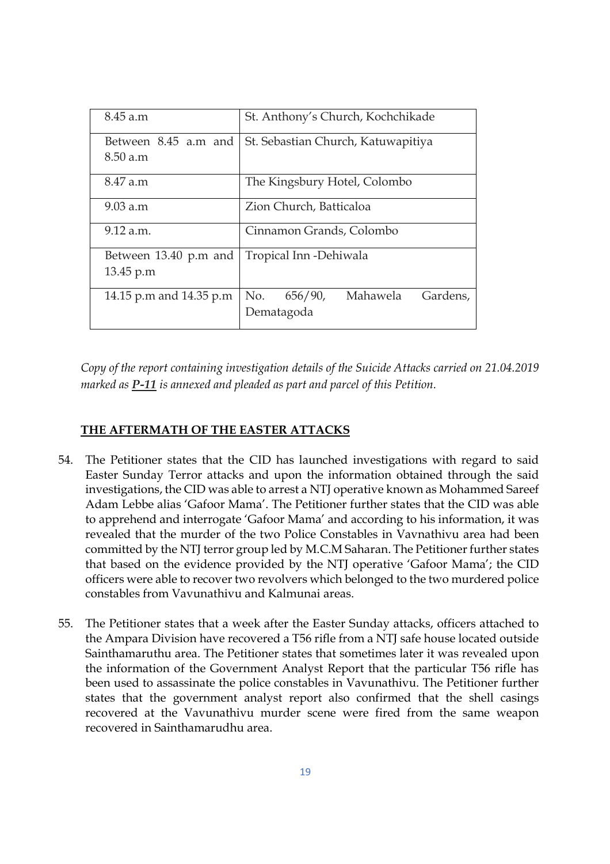| 8.45 a.m                | St. Anthony's Church, Kochchikade      |  |  |  |
|-------------------------|----------------------------------------|--|--|--|
| Between 8.45 a.m and    | St. Sebastian Church, Katuwapitiya     |  |  |  |
| $8.50$ a.m              |                                        |  |  |  |
| 8.47 a.m                | The Kingsbury Hotel, Colombo           |  |  |  |
| 9.03 a.m                | Zion Church, Batticaloa                |  |  |  |
| 9.12 a.m.               | Cinnamon Grands, Colombo               |  |  |  |
| Between 13.40 p.m and   | Tropical Inn -Dehiwala                 |  |  |  |
| 13.45 p.m               |                                        |  |  |  |
| 14.15 p.m and 14.35 p.m | Mahawela<br>Gardens,<br>No.<br>656/90, |  |  |  |
|                         | Dematagoda                             |  |  |  |

*Copy of the report containing investigation details of the Suicide Attacks carried on 21.04.2019 marked as P-11 is annexed and pleaded as part and parcel of this Petition.* 

## **THE AFTERMATH OF THE EASTER ATTACKS**

- 54. The Petitioner states that the CID has launched investigations with regard to said Easter Sunday Terror attacks and upon the information obtained through the said investigations, the CID was able to arrest a NTJ operative known as Mohammed Sareef Adam Lebbe alias 'Gafoor Mama'. The Petitioner further states that the CID was able to apprehend and interrogate 'Gafoor Mama' and according to his information, it was revealed that the murder of the two Police Constables in Vavnathivu area had been committed by the NTJ terror group led by M.C.M Saharan. The Petitioner further states that based on the evidence provided by the NTJ operative 'Gafoor Mama'; the CID officers were able to recover two revolvers which belonged to the two murdered police constables from Vavunathivu and Kalmunai areas.
- 55. The Petitioner states that a week after the Easter Sunday attacks, officers attached to the Ampara Division have recovered a T56 rifle from a NTJ safe house located outside Sainthamaruthu area. The Petitioner states that sometimes later it was revealed upon the information of the Government Analyst Report that the particular T56 rifle has been used to assassinate the police constables in Vavunathivu. The Petitioner further states that the government analyst report also confirmed that the shell casings recovered at the Vavunathivu murder scene were fired from the same weapon recovered in Sainthamarudhu area.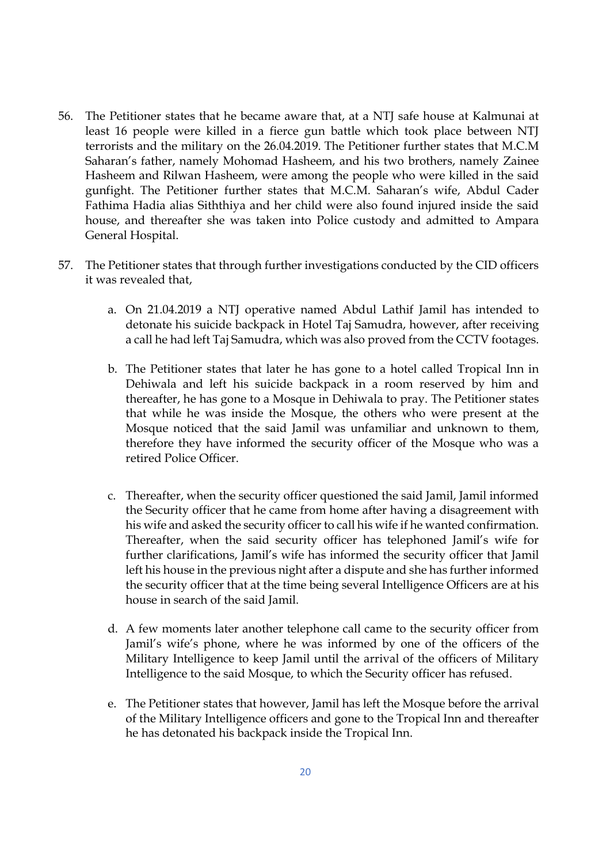- 56. The Petitioner states that he became aware that, at a NTJ safe house at Kalmunai at least 16 people were killed in a fierce gun battle which took place between NTJ terrorists and the military on the 26.04.2019. The Petitioner further states that M.C.M Saharan's father, namely Mohomad Hasheem, and his two brothers, namely Zainee Hasheem and Rilwan Hasheem, were among the people who were killed in the said gunfight. The Petitioner further states that M.C.M. Saharan's wife, Abdul Cader Fathima Hadia alias Siththiya and her child were also found injured inside the said house, and thereafter she was taken into Police custody and admitted to Ampara General Hospital.
- 57. The Petitioner states that through further investigations conducted by the CID officers it was revealed that,
	- a. On 21.04.2019 a NTJ operative named Abdul Lathif Jamil has intended to detonate his suicide backpack in Hotel Taj Samudra, however, after receiving a call he had left Taj Samudra, which was also proved from the CCTV footages.
	- b. The Petitioner states that later he has gone to a hotel called Tropical Inn in Dehiwala and left his suicide backpack in a room reserved by him and thereafter, he has gone to a Mosque in Dehiwala to pray. The Petitioner states that while he was inside the Mosque, the others who were present at the Mosque noticed that the said Jamil was unfamiliar and unknown to them, therefore they have informed the security officer of the Mosque who was a retired Police Officer.
	- c. Thereafter, when the security officer questioned the said Jamil, Jamil informed the Security officer that he came from home after having a disagreement with his wife and asked the security officer to call his wife if he wanted confirmation. Thereafter, when the said security officer has telephoned Jamil's wife for further clarifications, Jamil's wife has informed the security officer that Jamil left his house in the previous night after a dispute and she has further informed the security officer that at the time being several Intelligence Officers are at his house in search of the said Jamil.
	- d. A few moments later another telephone call came to the security officer from Jamil's wife's phone, where he was informed by one of the officers of the Military Intelligence to keep Jamil until the arrival of the officers of Military Intelligence to the said Mosque, to which the Security officer has refused.
	- e. The Petitioner states that however, Jamil has left the Mosque before the arrival of the Military Intelligence officers and gone to the Tropical Inn and thereafter he has detonated his backpack inside the Tropical Inn.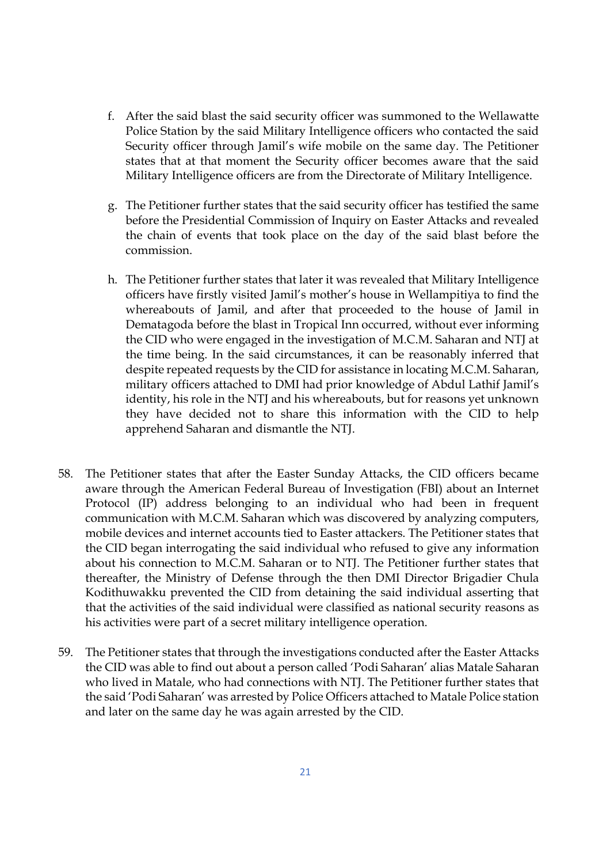- f. After the said blast the said security officer was summoned to the Wellawatte Police Station by the said Military Intelligence officers who contacted the said Security officer through Jamil's wife mobile on the same day. The Petitioner states that at that moment the Security officer becomes aware that the said Military Intelligence officers are from the Directorate of Military Intelligence.
- g. The Petitioner further states that the said security officer has testified the same before the Presidential Commission of Inquiry on Easter Attacks and revealed the chain of events that took place on the day of the said blast before the commission.
- h. The Petitioner further states that later it was revealed that Military Intelligence officers have firstly visited Jamil's mother's house in Wellampitiya to find the whereabouts of Jamil, and after that proceeded to the house of Jamil in Dematagoda before the blast in Tropical Inn occurred, without ever informing the CID who were engaged in the investigation of M.C.M. Saharan and NTJ at the time being. In the said circumstances, it can be reasonably inferred that despite repeated requests by the CID for assistance in locating M.C.M. Saharan, military officers attached to DMI had prior knowledge of Abdul Lathif Jamil's identity, his role in the NTJ and his whereabouts, but for reasons yet unknown they have decided not to share this information with the CID to help apprehend Saharan and dismantle the NTJ.
- 58. The Petitioner states that after the Easter Sunday Attacks, the CID officers became aware through the American Federal Bureau of Investigation (FBI) about an Internet Protocol (IP) address belonging to an individual who had been in frequent communication with M.C.M. Saharan which was discovered by analyzing computers, mobile devices and internet accounts tied to Easter attackers. The Petitioner states that the CID began interrogating the said individual who refused to give any information about his connection to M.C.M. Saharan or to NTJ. The Petitioner further states that thereafter, the Ministry of Defense through the then DMI Director Brigadier Chula Kodithuwakku prevented the CID from detaining the said individual asserting that that the activities of the said individual were classified as national security reasons as his activities were part of a secret military intelligence operation.
- 59. The Petitioner states that through the investigations conducted after the Easter Attacks the CID was able to find out about a person called 'Podi Saharan' alias Matale Saharan who lived in Matale, who had connections with NTJ. The Petitioner further states that the said 'Podi Saharan' was arrested by Police Officers attached to Matale Police station and later on the same day he was again arrested by the CID.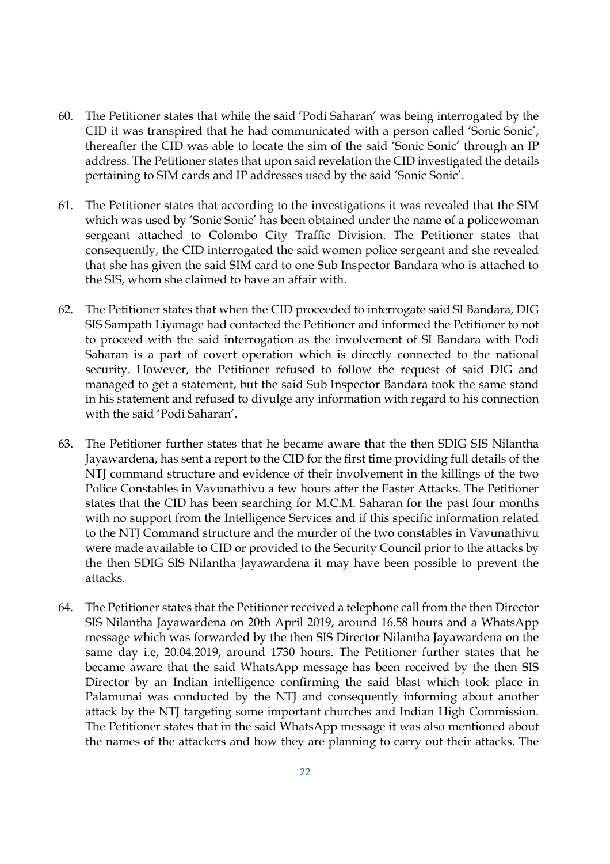- 60. The Petitioner states that while the said 'Podi Saharan' was being interrogated by the CID it was transpired that he had communicated with a person called 'Sonic Sonic', thereafter the CID was able to locate the sim of the said 'Sonic Sonic' through an IP address. The Petitioner states that upon said revelation the CID investigated the details pertaining to SIM cards and IP addresses used by the said 'Sonic Sonic'.
- 61. The Petitioner states that according to the investigations it was revealed that the SIM which was used by 'Sonic Sonic' has been obtained under the name of a policewoman sergeant attached to Colombo City Traffic Division. The Petitioner states that consequently, the CID interrogated the said women police sergeant and she revealed that she has given the said SIM card to one Sub Inspector Bandara who is attached to the SIS, whom she claimed to have an affair with.
- 62. The Petitioner states that when the CID proceeded to interrogate said SI Bandara, DIG SIS Sampath Liyanage had contacted the Petitioner and informed the Petitioner to not to proceed with the said interrogation as the involvement of SI Bandara with Podi Saharan is a part of covert operation which is directly connected to the national security. However, the Petitioner refused to follow the request of said DIG and managed to get a statement, but the said Sub Inspector Bandara took the same stand in his statement and refused to divulge any information with regard to his connection with the said 'Podi Saharan'.
- 63. The Petitioner further states that he became aware that the then SDIG SIS Nilantha Jayawardena, has sent a report to the CID for the first time providing full details of the NTJ command structure and evidence of their involvement in the killings of the two Police Constables in Vavunathivu a few hours after the Easter Attacks. The Petitioner states that the CID has been searching for M.C.M. Saharan for the past four months with no support from the Intelligence Services and if this specific information related to the NTJ Command structure and the murder of the two constables in Vavunathivu were made available to CID or provided to the Security Council prior to the attacks by the then SDIG SIS Nilantha Jayawardena it may have been possible to prevent the attacks.
- 64. The Petitioner states that the Petitioner received a telephone call from the then Director SIS Nilantha Jayawardena on 20th April 2019, around 16.58 hours and a WhatsApp message which was forwarded by the then SIS Director Nilantha Jayawardena on the same day i.e, 20.04.2019, around 1730 hours. The Petitioner further states that he became aware that the said WhatsApp message has been received by the then SIS Director by an Indian intelligence confirming the said blast which took place in Palamunai was conducted by the NTJ and consequently informing about another attack by the NTJ targeting some important churches and Indian High Commission. The Petitioner states that in the said WhatsApp message it was also mentioned about the names of the attackers and how they are planning to carry out their attacks. The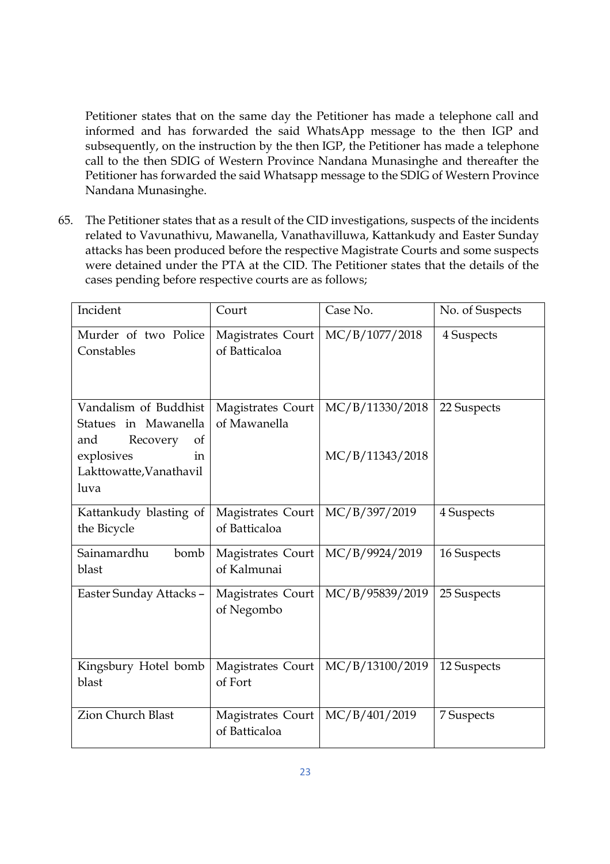Petitioner states that on the same day the Petitioner has made a telephone call and informed and has forwarded the said WhatsApp message to the then IGP and subsequently, on the instruction by the then IGP, the Petitioner has made a telephone call to the then SDIG of Western Province Nandana Munasinghe and thereafter the Petitioner has forwarded the said Whatsapp message to the SDIG of Western Province Nandana Munasinghe.

65. The Petitioner states that as a result of the CID investigations, suspects of the incidents related to Vavunathivu, Mawanella, Vanathavilluwa, Kattankudy and Easter Sunday attacks has been produced before the respective Magistrate Courts and some suspects were detained under the PTA at the CID. The Petitioner states that the details of the cases pending before respective courts are as follows;

| Incident                                                                  | Court                              | Case No.        | No. of Suspects |
|---------------------------------------------------------------------------|------------------------------------|-----------------|-----------------|
| Murder of two Police<br>Constables                                        | Magistrates Court<br>of Batticaloa | MC/B/1077/2018  | 4 Suspects      |
| Vandalism of Buddhist<br>in Mawanella<br>Statues<br>Recovery<br>and<br>of | Magistrates Court<br>of Mawanella  | MC/B/11330/2018 | 22 Suspects     |
| explosives<br>in<br>Lakttowatte, Vanathavil<br>luva                       |                                    | MC/B/11343/2018 |                 |
| Kattankudy blasting of<br>the Bicycle                                     | Magistrates Court<br>of Batticaloa | MC/B/397/2019   | 4 Suspects      |
| Sainamardhu<br>bomb<br>blast                                              | Magistrates Court<br>of Kalmunai   | MC/B/9924/2019  | 16 Suspects     |
| Easter Sunday Attacks-                                                    | Magistrates Court<br>of Negombo    | MC/B/95839/2019 | 25 Suspects     |
| Kingsbury Hotel bomb<br>blast                                             | Magistrates Court<br>of Fort       | MC/B/13100/2019 | 12 Suspects     |
| <b>Zion Church Blast</b>                                                  | Magistrates Court<br>of Batticaloa | MC/B/401/2019   | 7 Suspects      |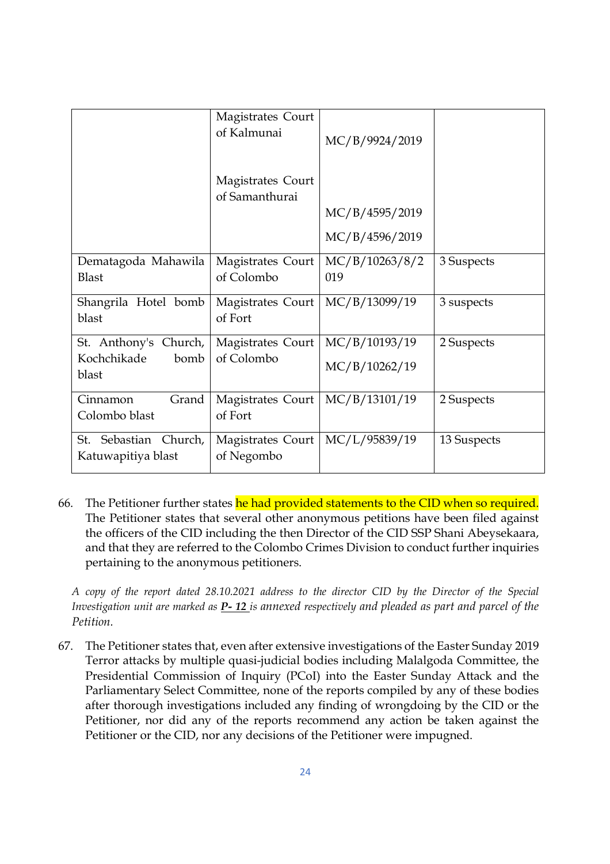|                               | Magistrates Court<br>of Kalmunai    | MC/B/9924/2019 |             |
|-------------------------------|-------------------------------------|----------------|-------------|
|                               | Magistrates Court<br>of Samanthurai |                |             |
|                               |                                     | MC/B/4595/2019 |             |
|                               |                                     | MC/B/4596/2019 |             |
| Dematagoda Mahawila           | Magistrates Court                   | MC/B/10263/8/2 | 3 Suspects  |
| <b>Blast</b>                  | of Colombo                          | 019            |             |
| Shangrila Hotel bomb<br>blast | Magistrates Court<br>of Fort        | MC/B/13099/19  | 3 suspects  |
| St. Anthony's Church,         | Magistrates Court                   | MC/B/10193/19  | 2 Suspects  |
| Kochchikade<br>bomb<br>blast  | of Colombo                          | MC/B/10262/19  |             |
| Grand<br>Cinnamon             | Magistrates Court                   | MC/B/13101/19  | 2 Suspects  |
| Colombo blast                 | of Fort                             |                |             |
| Sebastian Church,<br>St.      | Magistrates Court<br>of Negombo     | MC/L/95839/19  | 13 Suspects |
| Katuwapitiya blast            |                                     |                |             |

66. The Petitioner further states he had provided statements to the CID when so required. The Petitioner states that several other anonymous petitions have been filed against the officers of the CID including the then Director of the CID SSP Shani Abeysekaara, and that they are referred to the Colombo Crimes Division to conduct further inquiries pertaining to the anonymous petitioners.

 *A copy of the report dated 28.10.2021 address to the director CID by the Director of the Special Investigation unit are marked as P- 12 is annexed respectively and pleaded as part and parcel of the Petition.* 

67. The Petitioner states that, even after extensive investigations of the Easter Sunday 2019 Terror attacks by multiple quasi-judicial bodies including Malalgoda Committee, the Presidential Commission of Inquiry (PCoI) into the Easter Sunday Attack and the Parliamentary Select Committee, none of the reports compiled by any of these bodies after thorough investigations included any finding of wrongdoing by the CID or the Petitioner, nor did any of the reports recommend any action be taken against the Petitioner or the CID, nor any decisions of the Petitioner were impugned.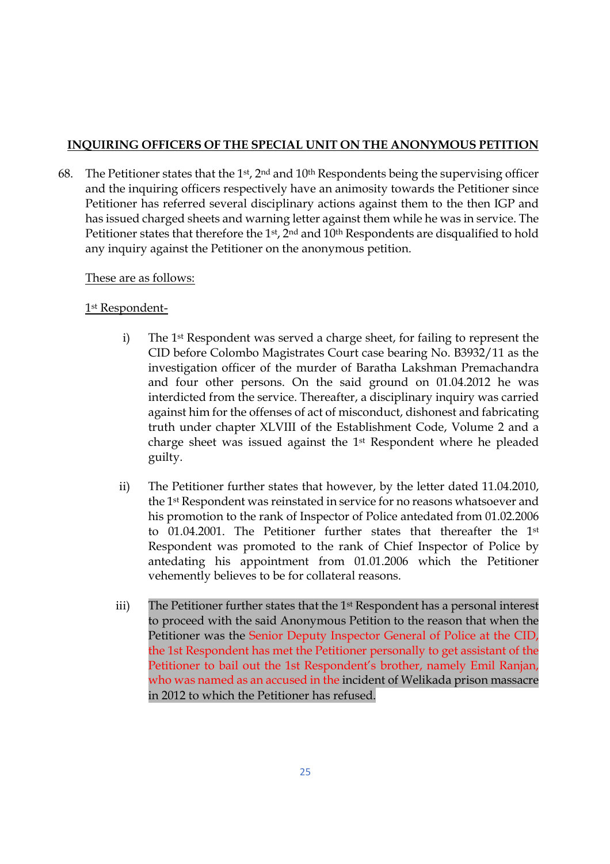## **INQUIRING OFFICERS OF THE SPECIAL UNIT ON THE ANONYMOUS PETITION**

68. The Petitioner states that the 1<sup>st</sup>, 2<sup>nd</sup> and 10<sup>th</sup> Respondents being the supervising officer and the inquiring officers respectively have an animosity towards the Petitioner since Petitioner has referred several disciplinary actions against them to the then IGP and has issued charged sheets and warning letter against them while he was in service. The Petitioner states that therefore the 1<sup>st</sup>, 2<sup>nd</sup> and 10<sup>th</sup> Respondents are disqualified to hold any inquiry against the Petitioner on the anonymous petition.

## These are as follows:

## 1 st Respondent-

- i) The 1st Respondent was served a charge sheet, for failing to represent the CID before Colombo Magistrates Court case bearing No. B3932/11 as the investigation officer of the murder of Baratha Lakshman Premachandra and four other persons. On the said ground on 01.04.2012 he was interdicted from the service. Thereafter, a disciplinary inquiry was carried against him for the offenses of act of misconduct, dishonest and fabricating truth under chapter XLVIII of the Establishment Code, Volume 2 and a charge sheet was issued against the 1st Respondent where he pleaded guilty.
- ii) The Petitioner further states that however, by the letter dated 11.04.2010, the 1st Respondent was reinstated in service for no reasons whatsoever and his promotion to the rank of Inspector of Police antedated from 01.02.2006 to 01.04.2001. The Petitioner further states that thereafter the 1st Respondent was promoted to the rank of Chief Inspector of Police by antedating his appointment from 01.01.2006 which the Petitioner vehemently believes to be for collateral reasons.
- iii) The Petitioner further states that the 1<sup>st</sup> Respondent has a personal interest to proceed with the said Anonymous Petition to the reason that when the Petitioner was the Senior Deputy Inspector General of Police at the CID, the 1st Respondent has met the Petitioner personally to get assistant of the Petitioner to bail out the 1st Respondent's brother, namely Emil Ranjan, who was named as an accused in the incident of Welikada prison massacre in 2012 to which the Petitioner has refused.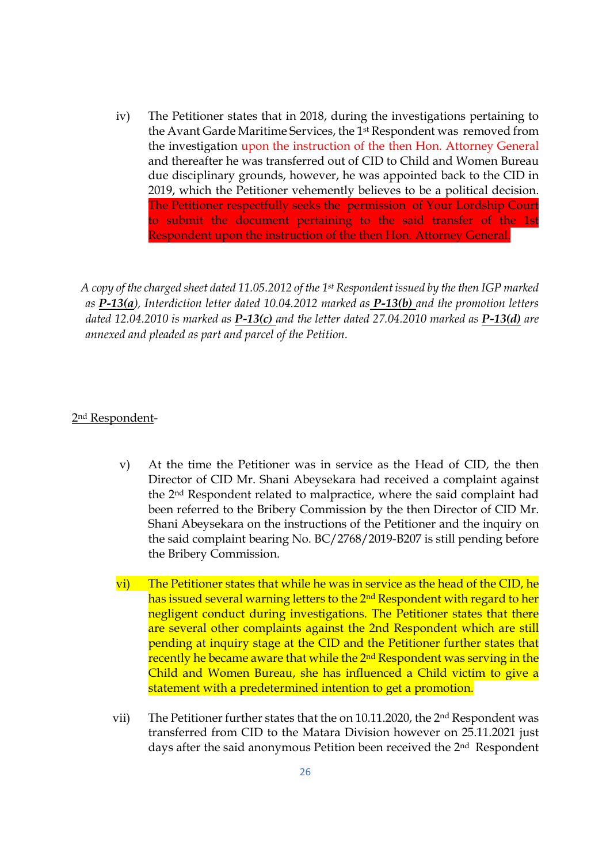iv) The Petitioner states that in 2018, during the investigations pertaining to the Avant Garde Maritime Services, the 1st Respondent was removed from the investigation upon the instruction of the then Hon. Attorney General and thereafter he was transferred out of CID to Child and Women Bureau due disciplinary grounds, however, he was appointed back to the CID in 2019, which the Petitioner vehemently believes to be a political decision. The Petitioner respectfully seeks the permission of Your Lordship Court to submit the document pertaining to the said transfer of the 1st Respondent upon the instruction of the then Hon. Attorney General.

*A copy of the charged sheet dated 11.05.2012 of the 1st Respondent issued by the then IGP marked as P-13(a), Interdiction letter dated 10.04.2012 marked as P-13(b) and the promotion letters dated 12.04.2010 is marked as P-13(c) and the letter dated 27.04.2010 marked as P-13(d) are annexed and pleaded as part and parcel of the Petition.* 

#### 2nd Respondent-

- v) At the time the Petitioner was in service as the Head of CID, the then Director of CID Mr. Shani Abeysekara had received a complaint against the 2nd Respondent related to malpractice, where the said complaint had been referred to the Bribery Commission by the then Director of CID Mr. Shani Abeysekara on the instructions of the Petitioner and the inquiry on the said complaint bearing No. BC/2768/2019-B207 is still pending before the Bribery Commission.
- vi) The Petitioner states that while he was in service as the head of the CID, he has issued several warning letters to the 2<sup>nd</sup> Respondent with regard to her negligent conduct during investigations. The Petitioner states that there are several other complaints against the 2nd Respondent which are still pending at inquiry stage at the CID and the Petitioner further states that recently he became aware that while the 2<sup>nd</sup> Respondent was serving in the Child and Women Bureau, she has influenced a Child victim to give a statement with a predetermined intention to get a promotion.
- vii) The Petitioner further states that the on 10.11.2020, the 2nd Respondent was transferred from CID to the Matara Division however on 25.11.2021 just days after the said anonymous Petition been received the 2<sup>nd</sup> Respondent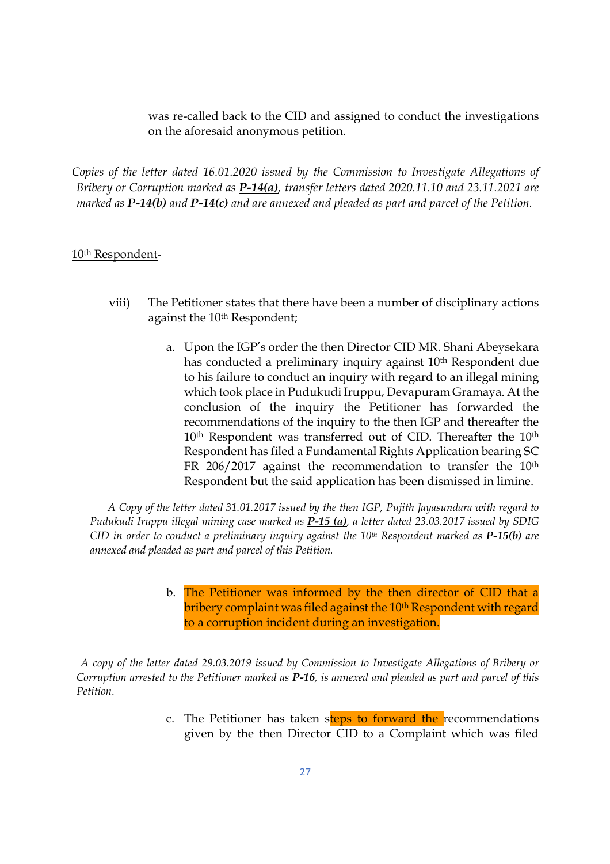was re-called back to the CID and assigned to conduct the investigations on the aforesaid anonymous petition.

*Copies of the letter dated 16.01.2020 issued by the Commission to Investigate Allegations of Bribery or Corruption marked as P-14(a), transfer letters dated 2020.11.10 and 23.11.2021 are marked as P-14(b) and P-14(c) and are annexed and pleaded as part and parcel of the Petition.* 

#### 10th Respondent-

- viii) The Petitioner states that there have been a number of disciplinary actions against the 10<sup>th</sup> Respondent;
	- a. Upon the IGP's order the then Director CID MR. Shani Abeysekara has conducted a preliminary inquiry against 10<sup>th</sup> Respondent due to his failure to conduct an inquiry with regard to an illegal mining which took place in Pudukudi Iruppu, Devapuram Gramaya. At the conclusion of the inquiry the Petitioner has forwarded the recommendations of the inquiry to the then IGP and thereafter the 10<sup>th</sup> Respondent was transferred out of CID. Thereafter the 10<sup>th</sup> Respondent has filed a Fundamental Rights Application bearing SC FR 206/2017 against the recommendation to transfer the 10<sup>th</sup> Respondent but the said application has been dismissed in limine.

*A Copy of the letter dated 31.01.2017 issued by the then IGP, Pujith Jayasundara with regard to Pudukudi Iruppu illegal mining case marked as P-15 (a), a letter dated 23.03.2017 issued by SDIG CID in order to conduct a preliminary inquiry against the 10th Respondent marked as P-15(b) are annexed and pleaded as part and parcel of this Petition.* 

> b. The Petitioner was informed by the then director of CID that a bribery complaint was filed against the 10<sup>th</sup> Respondent with regard to a corruption incident during an investigation.

*A copy of the letter dated 29.03.2019 issued by Commission to Investigate Allegations of Bribery or Corruption arrested to the Petitioner marked as P-16, is annexed and pleaded as part and parcel of this Petition.* 

> c. The Petitioner has taken steps to forward the recommendations given by the then Director CID to a Complaint which was filed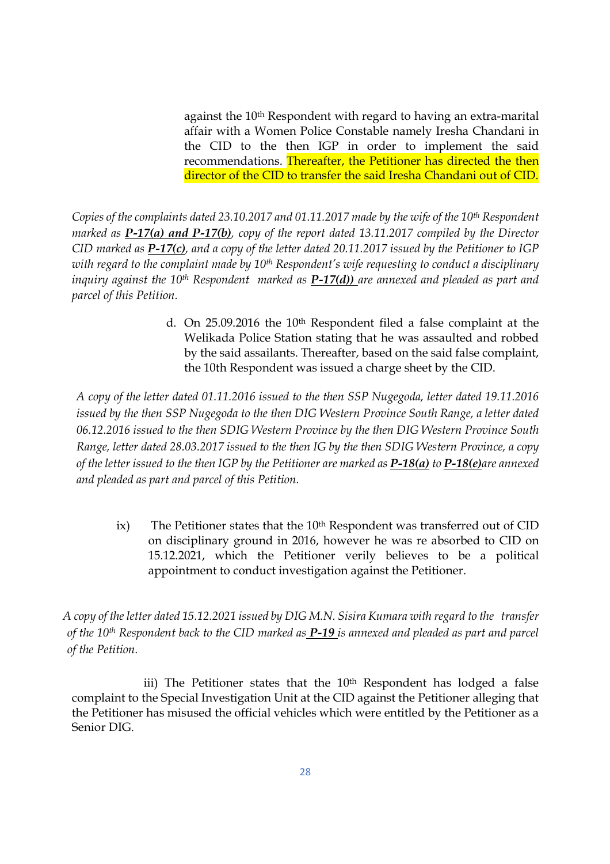against the 10<sup>th</sup> Respondent with regard to having an extra-marital affair with a Women Police Constable namely Iresha Chandani in the CID to the then IGP in order to implement the said recommendations. Thereafter, the Petitioner has directed the then director of the CID to transfer the said Iresha Chandani out of CID.

*Copies of the complaints dated 23.10.2017 and 01.11.2017 made by the wife of the 10th Respondent marked as P-17(a) and P-17(b), copy of the report dated 13.11.2017 compiled by the Director CID marked as P-17(c), and a copy of the letter dated 20.11.2017 issued by the Petitioner to IGP with regard to the complaint made by 10th Respondent's wife requesting to conduct a disciplinary inquiry against the 10th Respondent marked as P-17(d)) are annexed and pleaded as part and parcel of this Petition.* 

> d. On 25.09.2016 the 10th Respondent filed a false complaint at the Welikada Police Station stating that he was assaulted and robbed by the said assailants. Thereafter, based on the said false complaint, the 10th Respondent was issued a charge sheet by the CID.

*A copy of the letter dated 01.11.2016 issued to the then SSP Nugegoda, letter dated 19.11.2016 issued by the then SSP Nugegoda to the then DIG Western Province South Range, a letter dated 06.12.2016 issued to the then SDIG Western Province by the then DIG Western Province South Range, letter dated 28.03.2017 issued to the then IG by the then SDIG Western Province, a copy of the letter issued to the then IGP by the Petitioner are marked as P-18(a) to P-18(e)are annexed and pleaded as part and parcel of this Petition.* 

ix) The Petitioner states that the  $10<sup>th</sup>$  Respondent was transferred out of CID on disciplinary ground in 2016, however he was re absorbed to CID on 15.12.2021, which the Petitioner verily believes to be a political appointment to conduct investigation against the Petitioner.

*A copy of the letter dated 15.12.2021 issued by DIG M.N. Sisira Kumara with regard to the transfer of the 10th Respondent back to the CID marked as P-19 is annexed and pleaded as part and parcel of the Petition.* 

iii) The Petitioner states that the 10<sup>th</sup> Respondent has lodged a false complaint to the Special Investigation Unit at the CID against the Petitioner alleging that the Petitioner has misused the official vehicles which were entitled by the Petitioner as a Senior DIG.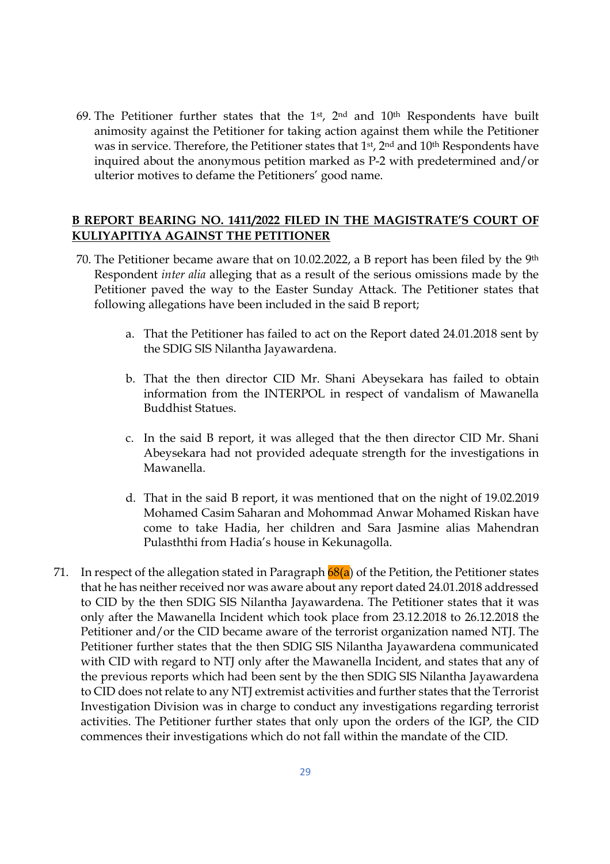69. The Petitioner further states that the 1<sup>st</sup>, 2<sup>nd</sup> and 10<sup>th</sup> Respondents have built animosity against the Petitioner for taking action against them while the Petitioner was in service. Therefore, the Petitioner states that 1<sup>st</sup>, 2<sup>nd</sup> and 10<sup>th</sup> Respondents have inquired about the anonymous petition marked as P-2 with predetermined and/or ulterior motives to defame the Petitioners' good name.

## **B REPORT BEARING NO. 1411/2022 FILED IN THE MAGISTRATE'S COURT OF KULIYAPITIYA AGAINST THE PETITIONER**

- 70. The Petitioner became aware that on 10.02.2022, a B report has been filed by the 9th Respondent *inter alia* alleging that as a result of the serious omissions made by the Petitioner paved the way to the Easter Sunday Attack. The Petitioner states that following allegations have been included in the said B report;
	- a. That the Petitioner has failed to act on the Report dated 24.01.2018 sent by the SDIG SIS Nilantha Jayawardena.
	- b. That the then director CID Mr. Shani Abeysekara has failed to obtain information from the INTERPOL in respect of vandalism of Mawanella Buddhist Statues.
	- c. In the said B report, it was alleged that the then director CID Mr. Shani Abeysekara had not provided adequate strength for the investigations in Mawanella.
	- d. That in the said B report, it was mentioned that on the night of 19.02.2019 Mohamed Casim Saharan and Mohommad Anwar Mohamed Riskan have come to take Hadia, her children and Sara Jasmine alias Mahendran Pulasththi from Hadia's house in Kekunagolla.
- 71. In respect of the allegation stated in Paragraph  $68(a)$  of the Petition, the Petitioner states that he has neither received nor was aware about any report dated 24.01.2018 addressed to CID by the then SDIG SIS Nilantha Jayawardena. The Petitioner states that it was only after the Mawanella Incident which took place from 23.12.2018 to 26.12.2018 the Petitioner and/or the CID became aware of the terrorist organization named NTJ. The Petitioner further states that the then SDIG SIS Nilantha Jayawardena communicated with CID with regard to NTJ only after the Mawanella Incident, and states that any of the previous reports which had been sent by the then SDIG SIS Nilantha Jayawardena to CID does not relate to any NTJ extremist activities and further states that the Terrorist Investigation Division was in charge to conduct any investigations regarding terrorist activities. The Petitioner further states that only upon the orders of the IGP, the CID commences their investigations which do not fall within the mandate of the CID.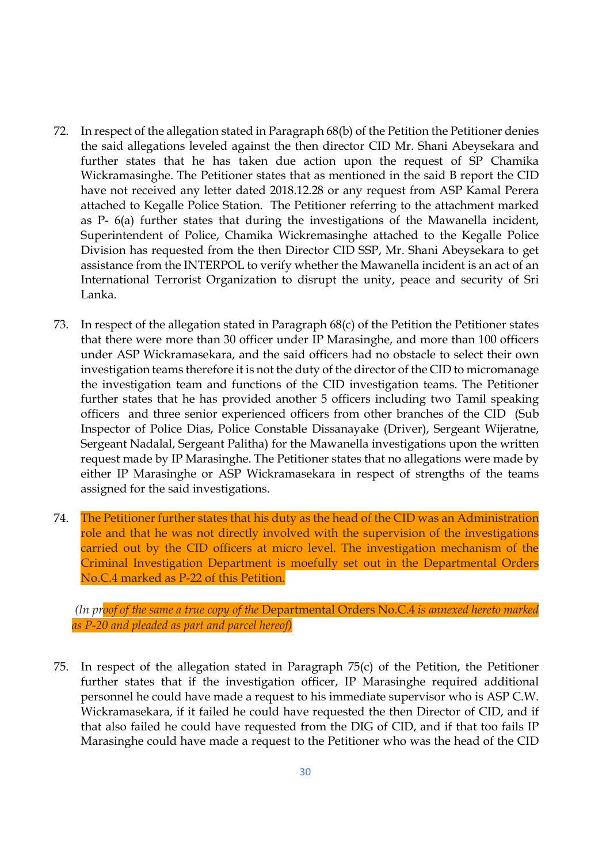- 72. In respect of the allegation stated in Paragraph 68(b) of the Petition the Petitioner denies the said allegations leveled against the then director CID Mr. Shani Abeysekara and further states that he has taken due action upon the request of SP Chamika Wickramasinghe. The Petitioner states that as mentioned in the said B report the CID have not received any letter dated 2018.12.28 or any request from ASP Kamal Perera attached to Kegalle Police Station. The Petitioner referring to the attachment marked as P- 6(a) further states that during the investigations of the Mawanella incident, Superintendent of Police, Chamika Wickremasinghe attached to the Kegalle Police Division has requested from the then Director CID SSP, Mr. Shani Abeysekara to get assistance from the INTERPOL to verify whether the Mawanella incident is an act of an International Terrorist Organization to disrupt the unity, peace and security of Sri Lanka.
- 73. In respect of the allegation stated in Paragraph 68(c) of the Petition the Petitioner states that there were more than 30 officer under IP Marasinghe, and more than 100 officers under ASP Wickramasekara, and the said officers had no obstacle to select their own investigation teams therefore it is not the duty of the director of the CID to micromanage the investigation team and functions of the CID investigation teams. The Petitioner further states that he has provided another 5 officers including two Tamil speaking officers and three senior experienced officers from other branches of the CID (Sub Inspector of Police Dias, Police Constable Dissanayake (Driver), Sergeant Wijeratne, Sergeant Nadalal, Sergeant Palitha) for the Mawanella investigations upon the written request made by IP Marasinghe. The Petitioner states that no allegations were made by either IP Marasinghe or ASP Wickramasekara in respect of strengths of the teams assigned for the said investigations.
- 74. The Petitioner further states that his duty as the head of the CID was an Administration role and that he was not directly involved with the supervision of the investigations carried out by the CID officers at micro level. The investigation mechanism of the Criminal Investigation Department is moefully set out in the Departmental Orders No.C.4 marked as P-22 of this Petition.

 *(In proof of the same a true copy of the* Departmental Orders No.C.4 *is annexed hereto marked as P-20 and pleaded as part and parcel hereof)* 

75. In respect of the allegation stated in Paragraph 75(c) of the Petition, the Petitioner further states that if the investigation officer, IP Marasinghe required additional personnel he could have made a request to his immediate supervisor who is ASP C.W. Wickramasekara, if it failed he could have requested the then Director of CID, and if that also failed he could have requested from the DIG of CID, and if that too fails IP Marasinghe could have made a request to the Petitioner who was the head of the CID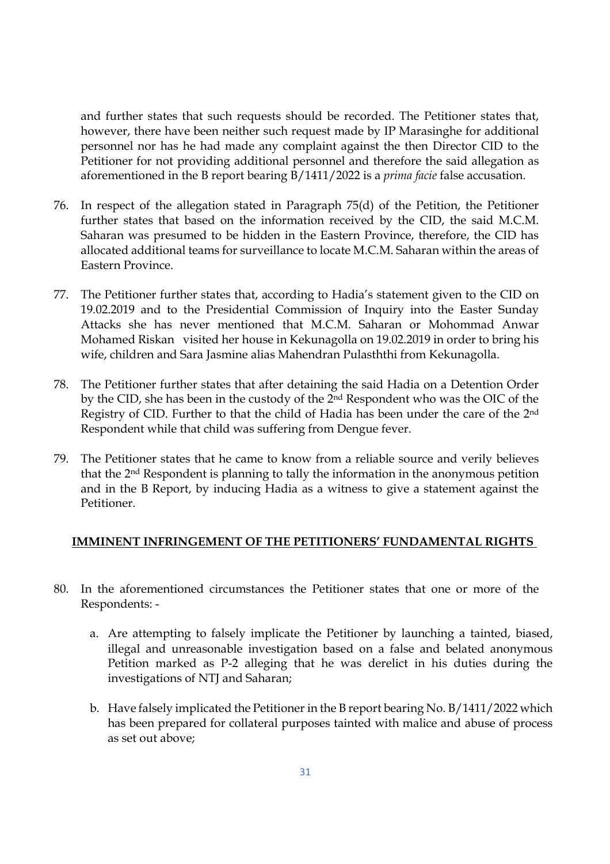and further states that such requests should be recorded. The Petitioner states that, however, there have been neither such request made by IP Marasinghe for additional personnel nor has he had made any complaint against the then Director CID to the Petitioner for not providing additional personnel and therefore the said allegation as aforementioned in the B report bearing B/1411/2022 is a *prima facie* false accusation.

- 76. In respect of the allegation stated in Paragraph 75(d) of the Petition, the Petitioner further states that based on the information received by the CID, the said M.C.M. Saharan was presumed to be hidden in the Eastern Province, therefore, the CID has allocated additional teams for surveillance to locate M.C.M. Saharan within the areas of Eastern Province.
- 77. The Petitioner further states that, according to Hadia's statement given to the CID on 19.02.2019 and to the Presidential Commission of Inquiry into the Easter Sunday Attacks she has never mentioned that M.C.M. Saharan or Mohommad Anwar Mohamed Riskan visited her house in Kekunagolla on 19.02.2019 in order to bring his wife, children and Sara Jasmine alias Mahendran Pulasththi from Kekunagolla.
- 78. The Petitioner further states that after detaining the said Hadia on a Detention Order by the CID, she has been in the custody of the 2nd Respondent who was the OIC of the Registry of CID. Further to that the child of Hadia has been under the care of the 2nd Respondent while that child was suffering from Dengue fever.
- 79. The Petitioner states that he came to know from a reliable source and verily believes that the 2nd Respondent is planning to tally the information in the anonymous petition and in the B Report, by inducing Hadia as a witness to give a statement against the Petitioner.

#### **IMMINENT INFRINGEMENT OF THE PETITIONERS' FUNDAMENTAL RIGHTS**

- 80. In the aforementioned circumstances the Petitioner states that one or more of the Respondents:
	- a. Are attempting to falsely implicate the Petitioner by launching a tainted, biased, illegal and unreasonable investigation based on a false and belated anonymous Petition marked as P-2 alleging that he was derelict in his duties during the investigations of NTJ and Saharan;
	- b. Have falsely implicated the Petitioner in the B report bearing No. B/1411/2022 which has been prepared for collateral purposes tainted with malice and abuse of process as set out above;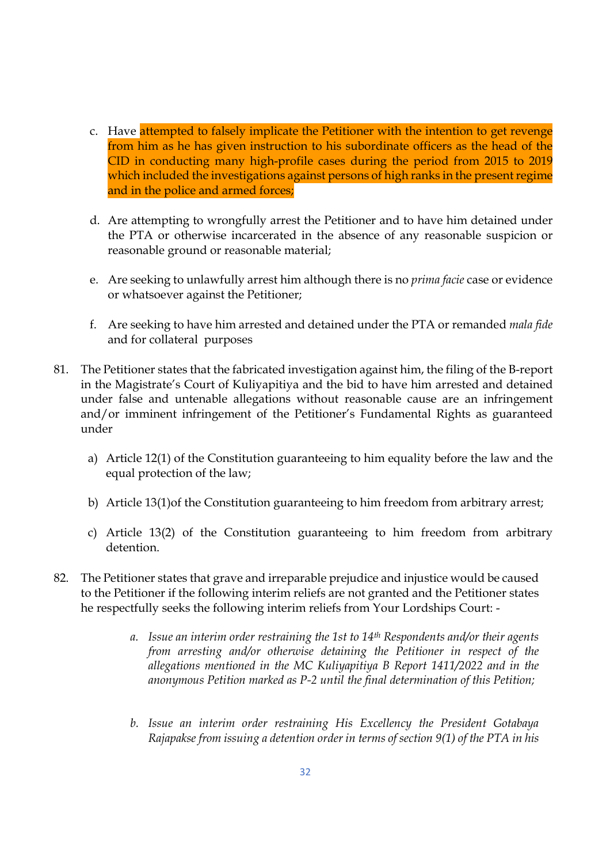- c. Have attempted to falsely implicate the Petitioner with the intention to get revenge from him as he has given instruction to his subordinate officers as the head of the CID in conducting many high-profile cases during the period from 2015 to 2019 which included the investigations against persons of high ranks in the present regime and in the police and armed forces;
- d. Are attempting to wrongfully arrest the Petitioner and to have him detained under the PTA or otherwise incarcerated in the absence of any reasonable suspicion or reasonable ground or reasonable material;
- e. Are seeking to unlawfully arrest him although there is no *prima facie* case or evidence or whatsoever against the Petitioner;
- f. Are seeking to have him arrested and detained under the PTA or remanded *mala fide* and for collateral purposes
- 81. The Petitioner states that the fabricated investigation against him, the filing of the B-report in the Magistrate's Court of Kuliyapitiya and the bid to have him arrested and detained under false and untenable allegations without reasonable cause are an infringement and/or imminent infringement of the Petitioner's Fundamental Rights as guaranteed under
	- a) Article 12(1) of the Constitution guaranteeing to him equality before the law and the equal protection of the law;
	- b) Article 13(1)of the Constitution guaranteeing to him freedom from arbitrary arrest;
	- c) Article 13(2) of the Constitution guaranteeing to him freedom from arbitrary detention.
- 82. The Petitioner states that grave and irreparable prejudice and injustice would be caused to the Petitioner if the following interim reliefs are not granted and the Petitioner states he respectfully seeks the following interim reliefs from Your Lordships Court:
	- *a. Issue an interim order restraining the 1st to 14th Respondents and/or their agents from arresting and/or otherwise detaining the Petitioner in respect of the allegations mentioned in the MC Kuliyapitiya B Report 1411/2022 and in the anonymous Petition marked as P-2 until the final determination of this Petition;*
	- *b. Issue an interim order restraining His Excellency the President Gotabaya Rajapakse from issuing a detention order in terms of section 9(1) of the PTA in his*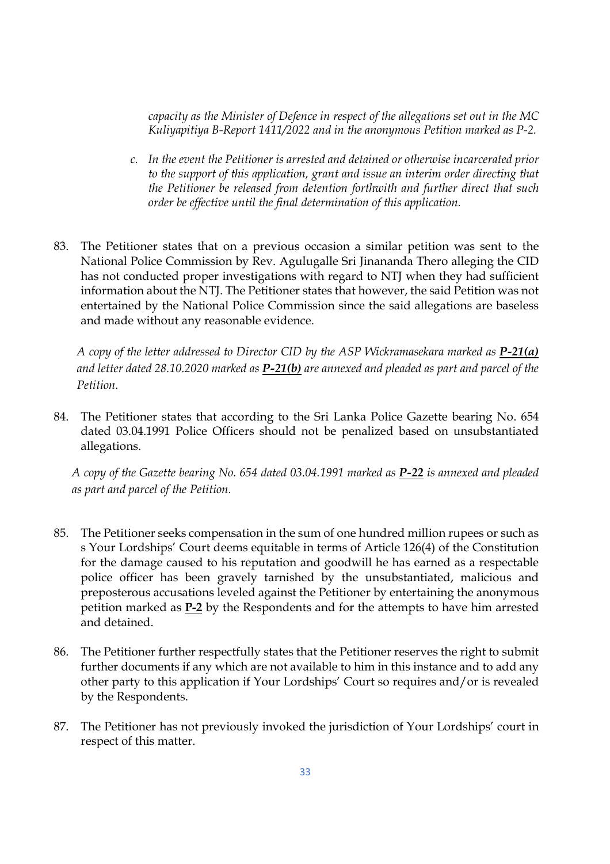*capacity as the Minister of Defence in respect of the allegations set out in the MC Kuliyapitiya B-Report 1411/2022 and in the anonymous Petition marked as P-2.* 

- *c. In the event the Petitioner is arrested and detained or otherwise incarcerated prior to the support of this application, grant and issue an interim order directing that the Petitioner be released from detention forthwith and further direct that such order be effective until the final determination of this application.*
- 83. The Petitioner states that on a previous occasion a similar petition was sent to the National Police Commission by Rev. Agulugalle Sri Jinananda Thero alleging the CID has not conducted proper investigations with regard to NTJ when they had sufficient information about the NTJ. The Petitioner states that however, the said Petition was not entertained by the National Police Commission since the said allegations are baseless and made without any reasonable evidence.

*A copy of the letter addressed to Director CID by the ASP Wickramasekara marked as P-21(a) and letter dated 28.10.2020 marked as P-21(b) are annexed and pleaded as part and parcel of the Petition.* 

84. The Petitioner states that according to the Sri Lanka Police Gazette bearing No. 654 dated 03.04.1991 Police Officers should not be penalized based on unsubstantiated allegations.

*A copy of the Gazette bearing No. 654 dated 03.04.1991 marked as P-22 is annexed and pleaded as part and parcel of the Petition.*

- 85. The Petitioner seeks compensation in the sum of one hundred million rupees or such as s Your Lordships' Court deems equitable in terms of Article 126(4) of the Constitution for the damage caused to his reputation and goodwill he has earned as a respectable police officer has been gravely tarnished by the unsubstantiated, malicious and preposterous accusations leveled against the Petitioner by entertaining the anonymous petition marked as **P-2** by the Respondents and for the attempts to have him arrested and detained.
- 86. The Petitioner further respectfully states that the Petitioner reserves the right to submit further documents if any which are not available to him in this instance and to add any other party to this application if Your Lordships' Court so requires and/or is revealed by the Respondents.
- 87. The Petitioner has not previously invoked the jurisdiction of Your Lordships' court in respect of this matter.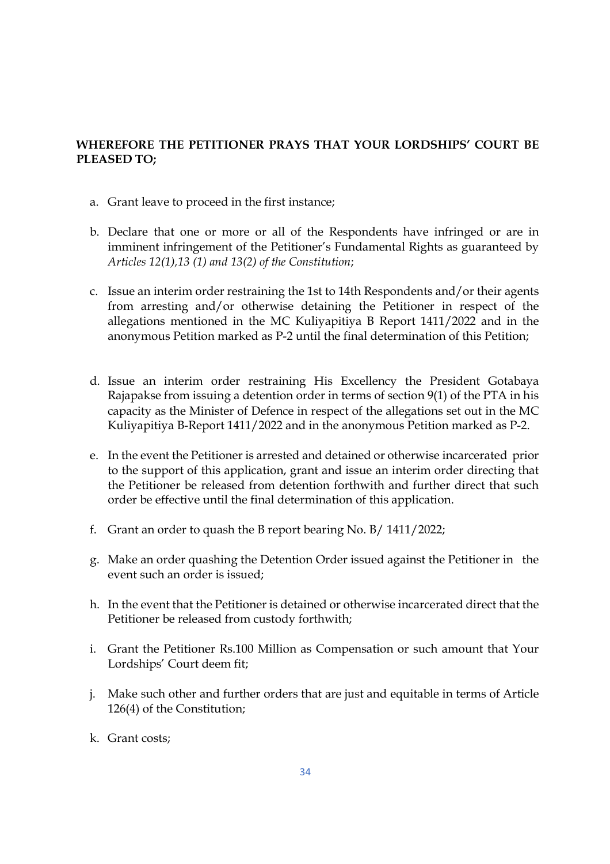## **WHEREFORE THE PETITIONER PRAYS THAT YOUR LORDSHIPS' COURT BE PLEASED TO;**

- a. Grant leave to proceed in the first instance;
- b. Declare that one or more or all of the Respondents have infringed or are in imminent infringement of the Petitioner's Fundamental Rights as guaranteed by *Articles 12(1),13 (1) and 13(2) of the Constitution*;
- c. Issue an interim order restraining the 1st to 14th Respondents and/or their agents from arresting and/or otherwise detaining the Petitioner in respect of the allegations mentioned in the MC Kuliyapitiya B Report 1411/2022 and in the anonymous Petition marked as P-2 until the final determination of this Petition;
- d. Issue an interim order restraining His Excellency the President Gotabaya Rajapakse from issuing a detention order in terms of section 9(1) of the PTA in his capacity as the Minister of Defence in respect of the allegations set out in the MC Kuliyapitiya B-Report 1411/2022 and in the anonymous Petition marked as P-2.
- e. In the event the Petitioner is arrested and detained or otherwise incarcerated prior to the support of this application, grant and issue an interim order directing that the Petitioner be released from detention forthwith and further direct that such order be effective until the final determination of this application.
- f. Grant an order to quash the B report bearing No. B/ 1411/2022;
- g. Make an order quashing the Detention Order issued against the Petitioner in the event such an order is issued;
- h. In the event that the Petitioner is detained or otherwise incarcerated direct that the Petitioner be released from custody forthwith;
- i. Grant the Petitioner Rs.100 Million as Compensation or such amount that Your Lordships' Court deem fit;
- j. Make such other and further orders that are just and equitable in terms of Article 126(4) of the Constitution;
- k. Grant costs;